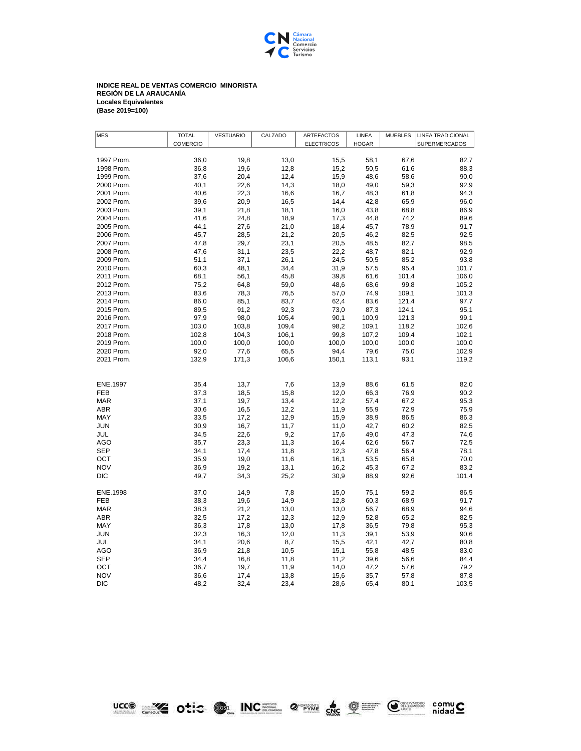

## **INDICE REAL DE VENTAS COMERCIO MINORISTA REGIÓN DE LA ARAUCANÍA Locales Equivalentes (Base 2019=100)**

| <b>MES</b>      | <b>TOTAL</b>    | <b>VESTUARIO</b> | CALZADO | <b>ARTEFACTOS</b> | LINEA        | <b>MUEBLES</b> | <b>LINEA TRADICIONAL</b> |
|-----------------|-----------------|------------------|---------|-------------------|--------------|----------------|--------------------------|
|                 | <b>COMERCIO</b> |                  |         | <b>ELECTRICOS</b> | <b>HOGAR</b> |                | SUPERMERCADOS            |
|                 |                 |                  |         |                   |              |                |                          |
| 1997 Prom.      | 36,0            | 19,8             | 13,0    | 15,5              | 58,1         | 67,6           | 82,7                     |
| 1998 Prom.      | 36,8            | 19,6             | 12,8    | 15,2              | 50,5         | 61,6           | 88,3                     |
| 1999 Prom.      | 37,6            | 20,4             | 12,4    | 15,9              | 48,6         | 58,6           | 90,0                     |
| 2000 Prom.      | 40,1            | 22,6             | 14,3    | 18,0              | 49,0         | 59,3           | 92,9                     |
| 2001 Prom.      | 40,6            | 22,3             | 16,6    | 16,7              | 48,3         | 61,8           | 94,3                     |
| 2002 Prom.      | 39,6            | 20,9             | 16,5    | 14,4              | 42,8         | 65,9           | 96,0                     |
| 2003 Prom.      | 39,1            | 21,8             | 18,1    | 16,0              | 43,8         | 68,8           | 86,9                     |
| 2004 Prom.      | 41,6            | 24,8             | 18,9    | 17,3              | 44,8         | 74,2           | 89,6                     |
| 2005 Prom.      | 44,1            | 27,6             | 21,0    | 18,4              | 45,7         | 78,9           | 91,7                     |
| 2006 Prom.      | 45,7            | 28,5             | 21,2    | 20,5              | 46,2         | 82,5           | 92,5                     |
| 2007 Prom.      | 47,8            | 29,7             | 23,1    | 20,5              | 48,5         | 82,7           | 98,5                     |
| 2008 Prom.      | 47,6            | 31,1             | 23,5    | 22,2              | 48,7         | 82,1           | 92,9                     |
| 2009 Prom.      | 51,1            | 37,1             | 26,1    | 24,5              | 50,5         | 85,2           | 93,8                     |
| 2010 Prom.      | 60,3            | 48,1             | 34,4    | 31,9              | 57,5         | 95,4           | 101,7                    |
| 2011 Prom.      | 68,1            | 56,1             | 45,8    | 39,8              | 61,6         | 101,4          | 106,0                    |
| 2012 Prom.      | 75,2            | 64,8             | 59,0    | 48,6              | 68,6         | 99,8           | 105,2                    |
| 2013 Prom.      | 83,6            | 78,3             | 76,5    | 57,0              | 74,9         | 109,1          | 101,3                    |
| 2014 Prom.      | 86,0            | 85,1             | 83,7    | 62,4              | 83,6         | 121,4          | 97,7                     |
| 2015 Prom.      | 89,5            | 91,2             | 92,3    | 73,0              | 87,3         | 124,1          | 95,1                     |
| 2016 Prom.      | 97,9            | 98,0             | 105,4   | 90,1              | 100,9        | 121,3          | 99,1                     |
| 2017 Prom.      | 103,0           | 103,8            | 109,4   | 98,2              | 109,1        | 118,2          | 102,6                    |
| 2018 Prom.      | 102,8           | 104,3            | 106,1   | 99,8              | 107,2        | 109,4          | 102,1                    |
| 2019 Prom.      | 100,0           | 100,0            | 100,0   | 100,0             | 100,0        | 100,0          | 100,0                    |
| 2020 Prom.      | 92,0            | 77,6             | 65,5    | 94,4              | 79,6         | 75,0           | 102,9                    |
| 2021 Prom.      | 132,9           | 171,3            | 106,6   | 150,1             | 113,1        | 93,1           | 119,2                    |
|                 |                 |                  |         |                   |              |                |                          |
|                 |                 |                  |         |                   |              |                |                          |
| <b>ENE.1997</b> | 35,4            | 13,7             | 7,6     | 13,9              | 88,6         | 61,5           | 82,0                     |
| <b>FEB</b>      | 37,3            | 18,5             | 15,8    | 12,0              | 66,3         | 76,9           | 90,2                     |
| <b>MAR</b>      | 37,1            | 19,7             | 13,4    | 12,2              | 57,4         | 67,2           | 95,3                     |
| ABR             | 30,6            | 16,5             | 12,2    | 11,9              | 55,9         | 72,9           | 75,9                     |
| MAY             | 33,5            | 17,2             | 12,9    | 15,9              | 38,9         | 86,5           | 86,3                     |
| <b>JUN</b>      | 30,9            | 16,7             | 11,7    | 11,0              | 42,7         | 60,2           | 82,5                     |
| JUL             | 34,5            | 22,6             | 9,2     | 17,6              | 49,0         | 47,3           | 74,6                     |
| <b>AGO</b>      | 35,7            | 23,3             | 11,3    | 16,4              | 62,6         | 56,7           | 72,5                     |
| <b>SEP</b>      | 34,1            | 17,4             | 11,8    | 12,3              | 47,8         | 56,4           | 78,1                     |
| <b>OCT</b>      | 35,9            | 19,0             | 11,6    | 16,1              | 53,5         | 65,8           | 70,0                     |
| <b>NOV</b>      | 36,9            | 19,2             | 13,1    | 16,2              | 45,3         | 67,2           | 83,2                     |
| <b>DIC</b>      | 49,7            | 34,3             | 25,2    | 30,9              | 88,9         | 92,6           | 101,4                    |
|                 |                 |                  |         |                   |              |                |                          |
| ENE.1998        | 37,0            | 14,9             | 7,8     | 15,0              | 75,1         | 59,2           | 86,5                     |
| <b>FEB</b>      | 38,3            | 19,6             | 14,9    | 12,8              | 60,3         | 68,9           | 91,7                     |
| <b>MAR</b>      | 38,3            | 21,2             | 13,0    | 13,0              | 56,7         | 68,9           | 94,6                     |
| <b>ABR</b>      | 32,5            | 17,2             | 12,3    | 12,9              | 52,8         | 65,2           | 82,5                     |
| MAY             | 36,3            | 17,8             | 13,0    | 17,8              | 36,5         | 79,8           | 95,3                     |
| <b>JUN</b>      | 32,3            | 16,3             | 12,0    | 11,3              | 39,1         | 53,9           | 90,6                     |
| JUL             | 34,1            | 20,6             | 8,7     | 15,5              | 42,1         | 42,7           | 80,8                     |
| <b>AGO</b>      | 36,9            | 21,8             | 10,5    | 15,1              | 55,8         | 48,5           | 83,0                     |
| <b>SEP</b>      | 34,4            | 16,8             | 11,8    | 11,2              | 39,6         | 56,6           | 84,4                     |
| OCT             | 36,7            | 19,7             | 11,9    | 14,0              | 47,2         | 57,6           | 79,2                     |
| <b>NOV</b>      | 36,6            | 17,4             | 13,8    | 15,6              | 35,7         | 57,8           | 87,8                     |
| <b>DIC</b>      | 48,2            | 32,4             | 23,4    | 28,6              | 65,4         | 80,1           | 103,5                    |
|                 |                 |                  |         |                   |              |                |                          |

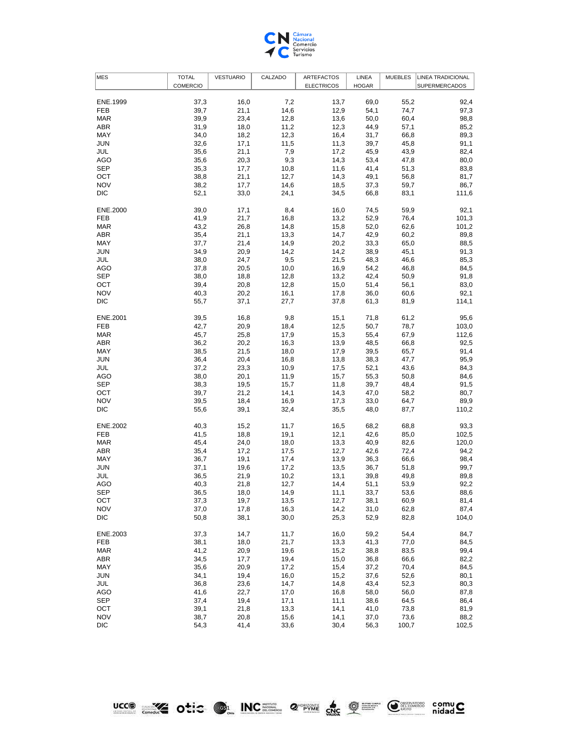

| <b>MES</b>             | <b>TOTAL</b>    | <b>VESTUARIO</b> | CALZADO | <b>ARTEFACTOS</b> | LINEA        | <b>MUEBLES</b> | <b>LINEA TRADICIONAL</b> |
|------------------------|-----------------|------------------|---------|-------------------|--------------|----------------|--------------------------|
|                        | <b>COMERCIO</b> |                  |         | <b>ELECTRICOS</b> | <b>HOGAR</b> |                | SUPERMERCADOS            |
|                        |                 |                  |         |                   |              |                |                          |
| ENE.1999               | 37,3            | 16,0             | 7,2     | 13,7              | 69,0         | 55,2           | 92,4                     |
| FEB                    | 39,7            | 21,1             | 14,6    | 12,9              | 54,1         | 74,7           | 97,3                     |
| <b>MAR</b>             | 39,9            | 23,4             | 12,8    | 13,6              | 50,0         | 60,4           | 98,8                     |
| ABR                    | 31,9            | 18,0             | 11,2    | 12,3              | 44,9         | 57,1           | 85,2                     |
| MAY                    | 34,0            | 18,2             | 12,3    | 16,4              | 31,7         | 66,8           | 89,3                     |
| JUN                    | 32,6            | 17,1             | 11,5    | 11,3              | 39,7         | 45,8           | 91,1                     |
| JUL                    | 35,6            | 21,1             | 7,9     | 17,2              | 45,9         | 43,9           | 82,4                     |
| AGO                    | 35,6            | 20,3             | 9,3     | 14,3              | 53,4         | 47,8           | 80,0                     |
| <b>SEP</b>             | 35,3            | 17,7             | 10,8    | 11,6              | 41,4         | 51,3           | 83,8                     |
| OCT                    | 38,8            | 21,1             | 12,7    | 14,3              | 49,1         | 56,8           | 81,7                     |
| <b>NOV</b>             | 38,2            | 17,7             | 14,6    | 18,5              | 37,3         | 59,7           | 86,7                     |
| <b>DIC</b>             | 52,1            | 33,0             | 24,1    | 34,5              | 66,8         | 83,1           | 111,6                    |
|                        |                 |                  |         |                   |              |                |                          |
| ENE.2000               | 39,0            | 17,1             | 8,4     | 16,0              | 74,5         | 59,9           | 92,1                     |
| FEB                    | 41,9            | 21,7             | 16,8    | 13,2              | 52,9         | 76,4           | 101,3                    |
| <b>MAR</b>             | 43,2            | 26,8             | 14,8    | 15,8              | 52,0         | 62,6           | 101,2                    |
| ABR                    | 35,4            | 21,1             | 13,3    | 14,7              | 42,9         | 60,2           | 89,8                     |
| MAY                    | 37,7            | 21,4             | 14,9    | 20,2              | 33,3         | 65,0           | 88,5                     |
| JUN                    | 34,9            | 20,9             | 14,2    | 14,2              | 38,9         | 45,1           | 91,3                     |
| JUL                    | 38,0            | 24,7             | 9,5     | 21,5              | 48,3         | 46,6           | 85,3                     |
| AGO                    | 37,8            | 20,5             | 10,0    | 16,9              | 54,2         | 46,8           | 84,5                     |
| <b>SEP</b>             | 38,0            | 18,8             | 12,8    | 13,2              | 42,4         | 50,9           | 91,8                     |
| OCT                    | 39,4            | 20,8             | 12,8    | 15,0              | 51,4         | 56,1           | 83,0                     |
| <b>NOV</b>             | 40,3            | 20,2             | 16,1    | 17,8              | 36,0         | 60,6           | 92,1                     |
| DIC                    | 55,7            | 37,1             | 27,7    | 37,8              | 61,3         | 81,9           | 114,1                    |
|                        |                 |                  |         |                   |              |                |                          |
| ENE.2001               | 39,5            | 16,8             | 9,8     | 15,1              | 71,8         | 61,2           | 95,6                     |
| <b>FEB</b>             | 42,7            | 20,9             | 18,4    | 12,5              | 50,7         | 78,7           | 103,0                    |
| <b>MAR</b>             | 45,7            | 25,8             | 17,9    | 15,3              | 55,4         | 67,9           | 112,6                    |
| ABR                    | 36,2            | 20,2             | 16,3    | 13,9              | 48,5         | 66,8           | 92,5                     |
| MAY                    | 38,5            | 21,5             | 18,0    | 17,9              | 39,5         | 65,7           | 91,4                     |
| JUN                    | 36,4            | 20,4             | 16,8    | 13,8              | 38,3         | 47,7           | 95,9                     |
|                        |                 |                  |         |                   |              |                |                          |
| JUL                    | 37,2            | 23,3             | 10,9    | 17,5              | 52,1         | 43,6           | 84,3                     |
| AGO                    | 38,0            | 20,1             | 11,9    | 15,7              | 55,3         | 50,8           | 84,6                     |
| <b>SEP</b>             | 38,3            | 19,5             | 15,7    | 11,8              | 39,7         | 48,4           | 91,5                     |
| OCT                    | 39,7            | 21,2             | 14,1    | 14,3              | 47,0         | 58,2           | 80,7                     |
| <b>NOV</b>             | 39,5            | 18,4             | 16,9    | 17,3              | 33,0         | 64,7           | 89,9                     |
| DIC                    | 55,6            | 39,1             | 32,4    | 35,5              | 48,0         | 87,7           | 110,2                    |
|                        |                 |                  |         |                   |              |                |                          |
| ENE.2002<br><b>FEB</b> | 40,3            | 15,2             | 11,7    | 16,5              | 68,2         | 68,8           | 93,3                     |
| <b>MAR</b>             | 41,5            | 18,8             | 19,1    | 12,1              | 42,6         | 85,0           | 102,5<br>120,0           |
|                        | 45,4            | 24,0             | 18,0    | 13,3              | 40,9         | 82,6           |                          |
| ABR                    | 35,4            | 17,2             | 17,5    | 12,7              | 42,6         | 72,4           | 94,2                     |
| MAY                    | 36,7            | 19,1             | 17,4    | 13,9              | 36,3         | 66,6           | 98,4                     |
| JUN                    | 37,1            | 19,6             | 17,2    | 13,5              | 36,7         | 51,8           | 99,7                     |
| JUL                    | 36,5            | 21,9             | 10,2    | 13,1              | 39,8         | 49,8           | 89,8                     |
| AGO                    | 40,3            | 21,8             | 12,7    | 14,4              | 51,1         | 53,9           | 92,2                     |
| <b>SEP</b>             | 36,5            | 18,0             | 14,9    | 11,1              | 33,7         | 53,6           | 88,6                     |
| OCT                    | 37,3            | 19,7             | 13,5    | 12,7              | 38,1         | 60,9           | 81,4                     |
| <b>NOV</b>             | 37,0            | 17,8             | 16,3    | 14,2              | 31,0         | 62,8           | 87,4                     |
| <b>DIC</b>             | 50,8            | 38,1             | 30,0    | 25,3              | 52,9         | 82,8           | 104,0                    |
|                        |                 |                  |         |                   |              |                |                          |
| ENE.2003               | 37,3            | 14,7             | 11,7    | 16,0              | 59,2         | 54,4           | 84,7                     |
| FEB                    | 38,1            | 18,0             | 21,7    | 13,3              | 41,3         | 77,0           | 84,5                     |
| <b>MAR</b>             | 41,2            | 20,9             | 19,6    | 15,2              | 38,8         | 83,5           | 99,4                     |
| ABR                    | 34,5            | 17,7             | 19,4    | 15,0              | 36,8         | 66,6           | 82,2                     |
| MAY                    | 35,6            | 20,9             | 17,2    | 15,4              | 37,2         | 70,4           | 84,5                     |
| JUN                    | 34,1            | 19,4             | 16,0    | 15,2              | 37,6         | 52,6           | 80,1                     |
| JUL                    | 36,8            | 23,6             | 14,7    | 14,8              | 43,4         | 52,3           | 80,3                     |
| AGO                    | 41,6            | 22,7             | 17,0    | 16,8              | 58,0         | 56,0           | 87,8                     |
| <b>SEP</b>             | 37,4            | 19,4             | 17,1    | 11,1              | 38,6         | 64,5           | 86,4                     |
| OCT                    | 39,1            | 21,8             | 13,3    | 14,1              | 41,0         | 73,8           | 81,9                     |
| <b>NOV</b>             | 38,7            | 20,8             | 15,6    | 14,1              | 37,0         | 73,6           | 88,2                     |
| <b>DIC</b>             | 54,3            | 41,4             | 33,6    | 30,4              | 56,3         | 100,7          | 102,5                    |

LCCO EX Otic OL INCE 2 PAR CRE QE CREE comuC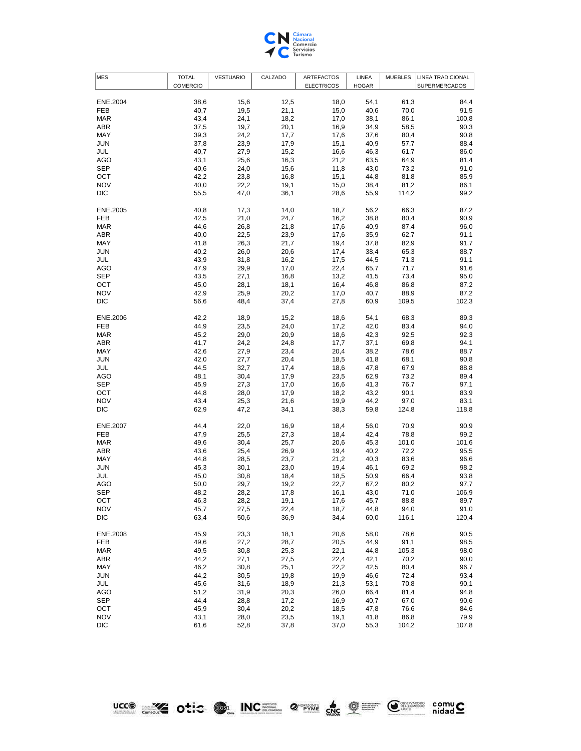

| <b>MES</b> | <b>TOTAL</b>    | <b>VESTUARIO</b> | CALZADO | <b>ARTEFACTOS</b> | LINEA        | <b>MUEBLES</b> | <b>LINEA TRADICIONAL</b> |
|------------|-----------------|------------------|---------|-------------------|--------------|----------------|--------------------------|
|            | <b>COMERCIO</b> |                  |         | <b>ELECTRICOS</b> | <b>HOGAR</b> |                | SUPERMERCADOS            |
|            |                 |                  |         |                   |              |                |                          |
| ENE.2004   | 38,6            | 15,6             | 12,5    | 18,0              | 54,1         | 61,3           | 84,4                     |
| <b>FEB</b> | 40,7            | 19,5             | 21,1    | 15,0              | 40,6         | 70,0           | 91,5                     |
| <b>MAR</b> | 43,4            | 24,1             | 18,2    | 17,0              | 38,1         | 86,1           | 100,8                    |
| ABR        | 37,5            | 19,7             | 20,1    | 16,9              | 34,9         | 58,5           | 90,3                     |
| MAY        | 39,3            | 24,2             | 17,7    | 17,6              | 37,6         | 80,4           | 90,8                     |
| JUN        | 37,8            | 23,9             | 17,9    | 15,1              | 40,9         | 57,7           | 88,4                     |
| JUL        | 40,7            | 27,9             | 15,2    | 16,6              | 46,3         | 61,7           | 86,0                     |
|            |                 |                  |         |                   |              |                |                          |
| AGO        | 43,1            | 25,6             | 16,3    | 21,2              | 63,5         | 64,9           | 81,4                     |
| <b>SEP</b> | 40,6            | 24,0             | 15,6    | 11,8              | 43,0         | 73,2           | 91,0                     |
| OCT        | 42,2            | 23,8             | 16,8    | 15,1              | 44,8         | 81,8           | 85,9                     |
| <b>NOV</b> | 40,0            | 22,2             | 19,1    | 15,0              | 38,4         | 81,2           | 86,1                     |
| DIC        | 55,5            | 47,0             | 36,1    | 28,6              | 55,9         | 114,2          | 99,2                     |
|            |                 |                  |         |                   |              |                |                          |
| ENE.2005   | 40,8            | 17,3             | 14,0    | 18,7              | 56,2         | 66,3           | 87,2                     |
| <b>FEB</b> | 42,5            | 21,0             | 24,7    | 16,2              | 38,8         | 80,4           | 90,9                     |
| <b>MAR</b> | 44,6            | 26,8             | 21,8    | 17,6              | 40,9         | 87,4           | 96,0                     |
| ABR        | 40,0            | 22,5             | 23,9    | 17,6              | 35,9         | 62,7           | 91,1                     |
| MAY        | 41,8            | 26,3             | 21,7    | 19,4              | 37,8         | 82,9           | 91,7                     |
| JUN        | 40,2            | 26,0             | 20,6    | 17,4              | 38,4         | 65,3           | 88,7                     |
| JUL        | 43,9            | 31,8             | 16,2    | 17,5              | 44,5         | 71,3           | 91,1                     |
| AGO        | 47,9            | 29,9             | 17,0    | 22,4              | 65,7         | 71,7           | 91,6                     |
| <b>SEP</b> | 43,5            | 27,1             | 16,8    | 13,2              | 41,5         | 73,4           | 95,0                     |
| OCT        | 45,0            | 28,1             | 18,1    | 16,4              | 46,8         | 86,8           | 87,2                     |
|            |                 |                  |         |                   |              |                |                          |
| <b>NOV</b> | 42,9            | 25,9             | 20,2    | 17,0              | 40,7         | 88,9           | 87,2                     |
| DIC        | 56,6            | 48,4             | 37,4    | 27,8              | 60,9         | 109,5          | 102,3                    |
| ENE.2006   | 42,2            | 18,9             | 15,2    | 18,6              | 54,1         | 68,3           | 89,3                     |
| FEB        | 44,9            | 23,5             |         |                   | 42,0         | 83,4           | 94,0                     |
|            |                 |                  | 24,0    | 17,2              |              |                |                          |
| <b>MAR</b> | 45,2            | 29,0             | 20,9    | 18,6              | 42,3         | 92,5           | 92,3                     |
| <b>ABR</b> | 41,7            | 24,2             | 24,8    | 17,7              | 37,1         | 69,8           | 94,1                     |
| MAY        | 42,6            | 27,9             | 23,4    | 20,4              | 38,2         | 78,6           | 88,7                     |
| JUN        | 42,0            | 27,7             | 20,4    | 18,5              | 41,8         | 68,1           | 90,8                     |
| JUL        | 44,5            | 32,7             | 17,4    | 18,6              | 47,8         | 67,9           | 88,8                     |
| AGO        | 48,1            | 30,4             | 17,9    | 23,5              | 62,9         | 73,2           | 89,4                     |
| <b>SEP</b> | 45,9            | 27,3             | 17,0    | 16,6              | 41,3         | 76,7           | 97,1                     |
| OCT        | 44,8            | 28,0             | 17,9    | 18,2              | 43,2         | 90,1           | 83,9                     |
| <b>NOV</b> | 43,4            | 25,3             | 21,6    | 19,9              | 44,2         | 97,0           | 83,1                     |
| DIC        | 62,9            | 47,2             | 34,1    | 38,3              | 59,8         | 124,8          | 118,8                    |
|            |                 |                  |         |                   |              |                |                          |
| ENE.2007   | 44,4            | 22,0             | 16,9    | 18,4              | 56,0         | 70,9           | 90,9                     |
| <b>FEB</b> | 47,9            | 25,5             | 27,3    | 18,4              | 42,4         | 78,8           | 99,2                     |
| <b>MAR</b> | 49,6            | 30,4             | 25,7    | 20,6              | 45,3         | 101,0          | 101,6                    |
| ABR        | 43,6            | 25,4             | 26,9    | 19,4              | 40,2         | 72,2           | 95,5                     |
| MAY        | 44,8            | 28,5             | 23,7    | 21,2              | 40,3         | 83,6           | 96,6                     |
| JUN        | 45,3            | 30,1             | 23,0    | 19,4              | 46,1         | 69,2           | 98,2                     |
| JUL        | 45,0            | 30,8             | 18,4    | 18,5              | 50,9         | 66,4           | 93,8                     |
| AGO        | 50,0            | 29,7             | 19,2    | 22,7              | 67,2         | 80,2           | 97,7                     |
| <b>SEP</b> |                 |                  |         |                   |              |                | 106,9                    |
|            | 48,2            | 28,2             | 17,8    | 16,1              | 43,0         | 71,0           |                          |
| OCT        | 46,3            | 28,2             | 19,1    | 17,6              | 45,7         | 88,8           | 89,7                     |
| <b>NOV</b> | 45,7            | 27,5             | 22,4    | 18,7              | 44,8         | 94,0           | 91,0                     |
| <b>DIC</b> | 63,4            | 50,6             | 36,9    | 34,4              | 60,0         | 116,1          | 120,4                    |
|            |                 |                  |         |                   |              |                |                          |
| ENE.2008   | 45,9            | 23,3             | 18,1    | 20,6              | 58,0         | 78,6           | 90,5                     |
| <b>FEB</b> | 49,6            | 27,2             | 28,7    | 20,5              | 44,9         | 91,1           | 98,5                     |
| <b>MAR</b> | 49,5            | 30,8             | 25,3    | 22,1              | 44,8         | 105,3          | 98,0                     |
| ABR        | 44,2            | 27,1             | 27,5    | 22,4              | 42,1         | 70,2           | 90,0                     |
| MAY        | 46,2            | 30,8             | 25,1    | 22,2              | 42,5         | 80,4           | 96,7                     |
| JUN        | 44,2            | 30,5             | 19,8    | 19,9              | 46,6         | 72,4           | 93,4                     |
| JUL        | 45,6            | 31,6             | 18,9    | 21,3              | 53,1         | 70,8           | 90,1                     |
| <b>AGO</b> | 51,2            | 31,9             | 20,3    | 26,0              | 66,4         | 81,4           | 94,8                     |
| <b>SEP</b> | 44,4            | 28,8             | 17,2    | 16,9              | 40,7         | 67,0           | 90,6                     |
| OCT        | 45,9            | 30,4             | 20,2    | 18,5              | 47,8         | 76,6           | 84,6                     |
| <b>NOV</b> | 43,1            | 28,0             | 23,5    | 19,1              | 41,8         | 86,8           | 79,9                     |
| <b>DIC</b> | 61,6            | 52,8             | 37,8    | 37,0              | 55,3         | 104,2          | 107,8                    |
|            |                 |                  |         |                   |              |                |                          |

LCCO EX Otic OL INCE 2 PAR CRE QE CREE comuC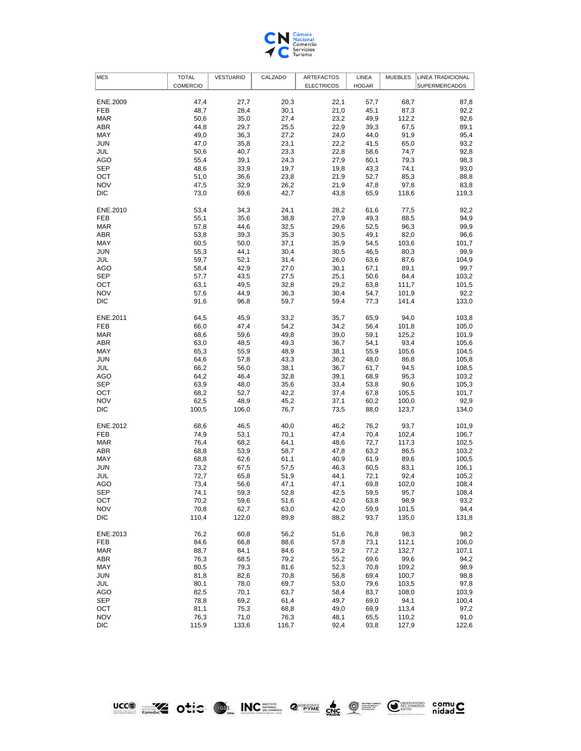

| <b>MES</b> | <b>TOTAL</b>    | <b>VESTUARIO</b> | CALZADO | <b>ARTEFACTOS</b> | LINEA        | <b>MUEBLES</b> | LINEA TRADICIONAL |
|------------|-----------------|------------------|---------|-------------------|--------------|----------------|-------------------|
|            | <b>COMERCIO</b> |                  |         | <b>ELECTRICOS</b> | <b>HOGAR</b> |                | SUPERMERCADOS     |
|            |                 |                  |         |                   |              |                |                   |
| ENE.2009   | 47,4            | 27,7             | 20,3    | 22,1              | 57,7         | 68,7           | 87,8              |
| <b>FEB</b> | 48,7            | 28,4             | 30,1    | 21,0              | 45,1         | 87,3           | 92,2              |
| <b>MAR</b> | 50,6            | 35,0             | 27,4    | 23,2              | 49,9         | 112,2          | 92,6              |
| ABR        | 44,8            | 29,7             | 25,5    | 22,9              | 39,3         | 67,5           | 89,1              |
| MAY        | 49,0            | 36,3             | 27,2    | 24,0              | 44,0         | 91,9           | 95,4              |
| <b>JUN</b> | 47,0            | 35,8             | 23,1    | 22,2              | 41,5         | 65,0           | 93,2              |
|            |                 |                  |         |                   |              |                |                   |
| JUL        | 50,6            | 40,7             | 23,3    | 22,8              | 58,6         | 74,7           | 92,8              |
| <b>AGO</b> | 55,4            | 39,1             | 24,3    | 27,9              | 60,1         | 79,3           | 98,3              |
| <b>SEP</b> | 48,6            | 33,9             | 19,7    | 19,8              | 43,3         | 74,1           | 93,0              |
| OCT        | 51,0            | 36,6             | 23,8    | 21,9              | 52,7         | 85,3           | 88,8              |
| <b>NOV</b> | 47,5            | 32,9             | 26,2    | 21,9              | 47,8         | 97,8           | 83,8              |
| <b>DIC</b> | 73,0            | 69,6             | 42,7    | 43,8              | 65,9         | 118,6          | 119,3             |
|            |                 |                  |         |                   |              |                |                   |
| ENE.2010   | 53,4            | 34,3             | 24,1    | 28,2              | 61,6         | 77,5           | 92,2              |
| <b>FEB</b> | 55,1            | 35,6             | 38,8    | 27,9              | 49,3         | 88,5           | 94,9              |
| <b>MAR</b> | 57,8            | 44,6             | 32,5    | 29,6              | 52,5         | 96,3           | 99,9              |
| <b>ABR</b> | 53,8            | 39,3             | 35,3    | 30,5              | 49,1         | 82,0           | 96,6              |
|            |                 |                  |         |                   |              |                |                   |
| MAY        | 60,5            | 50,0             | 37,1    | 35,9              | 54,5         | 103,6          | 101,7             |
| <b>JUN</b> | 55,3            | 44,1             | 30,4    | 30,5              | 46,5         | 80,3           | 99,9              |
| JUL        | 59,7            | 52,1             | 31,4    | 26,0              | 63,6         | 87,6           | 104,9             |
| AGO        | 58,4            | 42,9             | 27,0    | 30,1              | 67,1         | 89,1           | 99,7              |
| <b>SEP</b> | 57,7            | 43,5             | 27,5    | 25,1              | 50,6         | 84,4           | 103,2             |
| OCT        | 63,1            | 49,5             | 32,8    | 29,2              | 63,8         | 111,7          | 101,5             |
| <b>NOV</b> | 57,6            | 44,9             | 36,3    | 30,4              | 54,7         | 101,9          | 92,2              |
| <b>DIC</b> | 91,6            | 96,8             | 59,7    | 59,4              | 77,3         | 141,4          | 133,0             |
|            |                 |                  |         |                   |              |                |                   |
| ENE.2011   | 64,5            | 45,9             | 33,2    | 35,7              | 65,9         | 94,0           | 103,8             |
| FEB        |                 | 47,4             |         |                   | 56,4         |                | 105,0             |
|            | 66,0            |                  | 54,2    | 34,2              |              | 101,8          |                   |
| <b>MAR</b> | 68,6            | 59,6             | 49,8    | 39,0              | 59,1         | 125,2          | 101,9             |
| <b>ABR</b> | 63,0            | 48,5             | 49,3    | 36,7              | 54,1         | 93,4           | 105,6             |
| MAY        | 65,3            | 55,9             | 48,9    | 38,1              | 55,9         | 105,6          | 104,5             |
| JUN        | 64,6            | 57,8             | 43,3    | 36,2              | 48,0         | 86,8           | 105,8             |
| JUL        | 66,2            | 56,0             | 38,1    | 36,7              | 61,7         | 94,5           | 108,5             |
| AGO        | 64,2            | 46,4             | 32,8    | 39,1              | 68,9         | 95,3           | 103,2             |
| <b>SEP</b> | 63,9            | 48,0             | 35,6    | 33,4              | 53,8         | 90,6           | 105,3             |
| OCT        | 68,2            | 52,7             | 42,2    | 37,4              | 67,8         | 105,5          | 101,7             |
| <b>NOV</b> | 62,5            | 48,9             | 45,2    | 37,1              | 60,2         | 100,0          | 92,9              |
| <b>DIC</b> | 100,5           | 106,0            | 76,7    | 73,5              | 88,0         | 123,7          | 134,0             |
|            |                 |                  |         |                   |              |                |                   |
| ENE.2012   | 68,6            | 46,5             | 40,0    | 46,2              | 76,2         | 93,7           | 101,9             |
|            |                 |                  |         |                   |              |                |                   |
| <b>FEB</b> | 74,9            | 53,1             | 70,1    | 47,4              | 70,4         | 102,4          | 106,7             |
| <b>MAR</b> | 76,4            | 68,2             | 64,1    | 48,6              | 72,7         | 117,3          | 102,5             |
| <b>ABR</b> | 68,8            | 53,9             | 58,7    | 47,8              | 63,2         | 86,5           | 103,2             |
| MAY        | 68,8            | 62,6             | 61,1    | 40,9              | 61,9         | 89,6           | 100,5             |
| JUN        | 73,2            | 67,5             | 57,5    | 46,3              | 60,5         | 83,1           | 106,1             |
| JUL        | 72,7            | 65,8             | 51,9    | 44,1              | 72,1         | 92,4           | 105,2             |
| <b>AGO</b> | 73,4            | 56,6             | 47,1    | 47,1              | 69,8         | 102,0          | 108,4             |
| <b>SEP</b> | 74,1            | 59,3             | 52,8    | 42,5              | 59,5         | 95,7           | 108,4             |
| OCT        | 70,2            | 59,6             | 51,6    | 42,0              | 63,8         | 98,9           | 93,2              |
| <b>NOV</b> | 70,8            | 62,7             | 63,0    | 42,0              | 59,9         | 101,5          | 94,4              |
| <b>DIC</b> | 110,4           | 122,0            | 89,8    | 88,2              | 93,7         | 135,0          | 131,8             |
|            |                 |                  |         |                   |              |                |                   |
|            |                 |                  |         |                   |              |                |                   |
| ENE.2013   | 76,2            | 60,8             | 56,2    | 51,6              | 76,8         | 98,3           | 98,2              |
| <b>FEB</b> | 84,6            | 66,8             | 88,6    | 57,8              | 73,1         | 112,1          | 106,0             |
| <b>MAR</b> | 88,7            | 84,1             | 84,6    | 59,2              | 77,2         | 132,7          | 107,1             |
| ABR        | 76,3            | 68,5             | 79,2    | 55,2              | 69,6         | 99,6           | 94,2              |
| MAY        | 80,5            | 79,3             | 81,6    | 52,3              | 70,8         | 109,2          | 98,9              |
| JUN        | 81,8            | 82,6             | 70,8    | 56,8              | 69,4         | 100,7          | 98,8              |
| JUL        | 80,1            | 78,0             | 69,7    | 53,0              | 79,6         | 103,5          | 97,8              |
| <b>AGO</b> | 82,5            | 70,1             | 63,7    | 58,4              | 83,7         | 108,0          | 103,9             |
| <b>SEP</b> | 78,8            | 69,2             | 61,4    | 49,7              | 69,0         | 94,1           | 100,4             |
| OCT        | 81,1            | 75,3             | 68,8    | 49,0              | 69,9         | 113,4          | 97,2              |
|            |                 |                  |         |                   |              |                |                   |
| <b>NOV</b> | 76,3            | 71,0             | 76,3    | 48,1              | 65,5         | 110,2          | 91,0              |
| <b>DIC</b> | 115,9           | 133,6            | 116,7   | 92,4              | 93,8         | 127,9          | 122,6             |

LICO COLLEGE INC. 2 PARK COLLEGE COMMISSION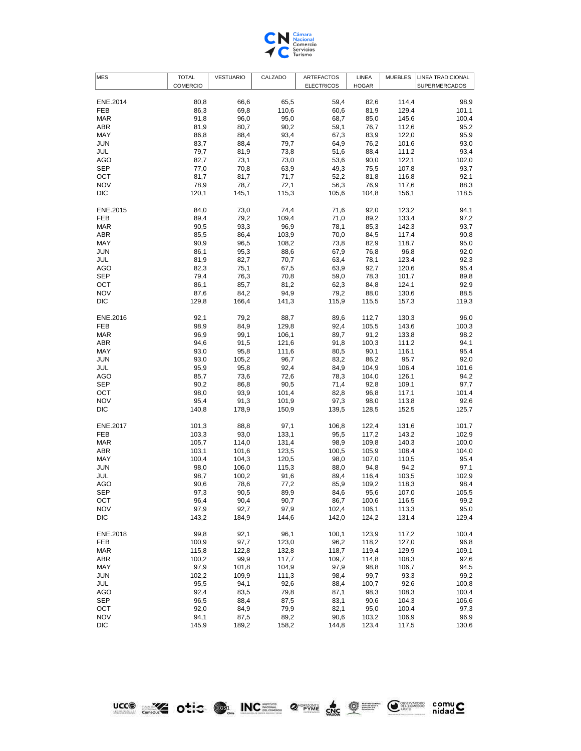

| <b>MES</b> | <b>TOTAL</b>    | <b>VESTUARIO</b> | CALZADO        | <b>ARTEFACTOS</b> | LINEA        | <b>MUEBLES</b> | <b>LINEA TRADICIONAL</b> |
|------------|-----------------|------------------|----------------|-------------------|--------------|----------------|--------------------------|
|            | <b>COMERCIO</b> |                  |                | <b>ELECTRICOS</b> | <b>HOGAR</b> |                | SUPERMERCADOS            |
|            |                 |                  |                |                   |              |                |                          |
| ENE.2014   | 80,8            | 66,6             | 65,5           | 59,4              | 82,6         | 114,4          | 98,9                     |
| <b>FEB</b> | 86,3            | 69,8             | 110,6          | 60,6              | 81,9         | 129,4          | 101,1                    |
| <b>MAR</b> | 91,8            | 96,0             | 95,0           | 68,7              | 85,0         | 145,6          | 100,4                    |
| ABR        | 81,9            | 80,7             | 90,2           | 59,1              | 76,7         | 112,6          | 95,2                     |
| MAY        | 86,8            | 88,4             | 93,4           | 67,3              | 83,9         | 122,0          | 95,9                     |
| JUN        | 83,7            | 88,4             | 79,7           | 64,9              | 76,2         | 101,6          | 93,0                     |
| JUL        | 79,7            | 81,9             | 73,8           | 51,6              | 88,4         | 111,2          | 93,4                     |
| AGO        | 82,7            | 73,1             | 73,0           | 53,6              | 90,0         | 122,1          | 102,0                    |
| <b>SEP</b> | 77,0            | 70,8             | 63,9           | 49,3              | 75,5         | 107,8          | 93,7                     |
| OCT        | 81,7            | 81,7             | 71,7           | 52,2              | 81,8         | 116,8          | 92,1                     |
| <b>NOV</b> | 78,9            | 78,7             | 72,1           | 56,3              | 76,9         | 117,6          | 88,3                     |
| DIC        | 120,1           | 145,1            | 115,3          | 105,6             | 104,8        | 156,1          | 118,5                    |
|            |                 |                  |                |                   |              |                |                          |
| ENE.2015   | 84,0            | 73,0             | 74,4           | 71,6              | 92,0         | 123,2          | 94,1                     |
| <b>FEB</b> | 89,4            | 79,2             | 109,4          | 71,0              | 89,2         | 133,4          | 97,2                     |
| <b>MAR</b> | 90,5            | 93,3             | 96,9           | 78,1              | 85,3         | 142,3          | 93,7                     |
| ABR        | 85,5            | 86,4             | 103,9          | 70,0              | 84,5         | 117,4          | 90,8                     |
| MAY        | 90,9            | 96,5             | 108,2          | 73,8              | 82,9         | 118,7          | 95,0                     |
| JUN        | 86,1            | 95,3             | 88,6           | 67,9              | 76,8         | 96,8           | 92,0                     |
|            |                 |                  |                |                   |              |                |                          |
| JUL        | 81,9            | 82,7             | 70,7           | 63,4              | 78,1         | 123,4          | 92,3                     |
| AGO        | 82,3            | 75,1             | 67,5           | 63,9              | 92,7         | 120,6          | 95,4                     |
| <b>SEP</b> | 79,4            | 76,3             | 70,8           | 59,0              | 78,3         | 101,7          | 89,8                     |
| OCT        | 86,1            | 85,7             | 81,2           | 62,3              | 84,8         | 124,1          | 92,9                     |
| <b>NOV</b> | 87,6            | 84,2             | 94,9           | 79,2              | 88,0         | 130,6          | 88,5                     |
| DIC        | 129,8           | 166,4            | 141,3          | 115,9             | 115,5        | 157,3          | 119,3                    |
| ENE.2016   | 92,1            | 79,2             | 88,7           | 89,6              | 112,7        | 130,3          | 96,0                     |
| FEB        | 98,9            | 84,9             | 129,8          | 92,4              | 105,5        | 143,6          | 100,3                    |
| <b>MAR</b> | 96,9            | 99,1             | 106,1          | 89,7              | 91,2         | 133,8          | 98,2                     |
| ABR        | 94,6            | 91,5             | 121,6          | 91,8              | 100,3        | 111,2          | 94,1                     |
| MAY        | 93,0            | 95,8             | 111,6          | 80,5              | 90,1         | 116,1          | 95,4                     |
| JUN        | 93,0            | 105,2            | 96,7           | 83,2              | 86,2         | 95,7           | 92,0                     |
| JUL        | 95,9            | 95,8             | 92,4           | 84,9              | 104,9        | 106,4          | 101,6                    |
| AGO        | 85,7            | 73,6             | 72,6           | 78,3              | 104,0        | 126,1          | 94,2                     |
| <b>SEP</b> |                 | 86,8             |                | 71,4              | 92,8         |                |                          |
| OCT        | 90,2            | 93,9             | 90,5<br>101,4  | 82,8              | 96,8         | 109,1          | 97,7                     |
| <b>NOV</b> | 98,0            |                  |                |                   |              | 117,1          | 101,4                    |
| DIC        | 95,4            | 91,3             | 101,9<br>150,9 | 97,3              | 98,0         | 113,8          | 92,6                     |
|            | 140,8           | 178,9            |                | 139,5             | 128,5        | 152,5          | 125,7                    |
| ENE.2017   | 101,3           | 88,8             | 97,1           | 106,8             | 122,4        | 131,6          | 101,7                    |
| <b>FEB</b> | 103,3           | 93,0             | 133,1          | 95,5              | 117,2        | 143,2          | 102,9                    |
| <b>MAR</b> | 105,7           | 114,0            | 131,4          | 98,9              | 109,8        | 140,3          | 100,0                    |
| ABR        | 103,1           | 101,6            | 123,5          | 100,5             | 105,9        | 108,4          | 104,0                    |
| MAY        | 100,4           | 104,3            | 120,5          | 98,0              | 107,0        | 110,5          | 95,4                     |
| JUN        | 98,0            | 106,0            | 115,3          | 88,0              | 94,8         | 94,2           | 97,1                     |
| JUL        | 98,7            | 100,2            | 91,6           | 89,4              | 116,4        | 103,5          | 102,9                    |
| AGO        | 90,6            | 78,6             | 77,2           | 85,9              | 109,2        | 118,3          | 98,4                     |
| <b>SEP</b> | 97,3            | 90,5             | 89,9           | 84,6              | 95,6         | 107,0          | 105,5                    |
| OCT        | 96,4            | 90,4             | 90,7           | 86,7              | 100,6        | 116,5          | 99,2                     |
| <b>NOV</b> | 97,9            | 92,7             | 97,9           | 102,4             | 106,1        | 113,3          | 95,0                     |
| <b>DIC</b> | 143,2           | 184,9            | 144,6          | 142,0             | 124,2        | 131,4          | 129,4                    |
|            |                 |                  |                |                   |              |                |                          |
| ENE.2018   | 99,8            | 92,1             | 96,1           | 100,1             | 123,9        | 117,2          | 100,4                    |
| <b>FEB</b> | 100,9           | 97,7             | 123,0          | 96,2              | 118,2        | 127,0          | 96,8                     |
| <b>MAR</b> | 115,8           | 122,8            | 132,8          | 118,7             | 119,4        | 129,9          | 109,1                    |
| ABR        | 100,2           | 99,9             | 117,7          | 109,7             | 114,8        | 108,3          | 92,6                     |
| MAY        | 97,9            | 101,8            | 104,9          | 97,9              | 98,8         | 106,7          | 94,5                     |
| JUN        | 102,2           | 109,9            | 111,3          | 98,4              | 99,7         | 93,3           | 99,2                     |
| JUL        | 95,5            | 94,1             | 92,6           | 88,4              | 100,7        | 92,6           | 100,8                    |
| AGO        | 92,4            | 83,5             | 79,8           | 87,1              | 98,3         | 108,3          | 100,4                    |
| <b>SEP</b> | 96,5            | 88,4             | 87,5           | 83,1              | 90,6         | 104,3          | 106,6                    |
| OCT        | 92,0            | 84,9             | 79,9           | 82,1              | 95,0         | 100,4          | 97,3                     |
| <b>NOV</b> | 94,1            | 87,5             | 89,2           | 90,6              | 103,2        | 106,9          | 96,9                     |
| <b>DIC</b> | 145,9           | 189,2            | 158,2          | 144,8             | 123,4        | 117,5          | 130,6                    |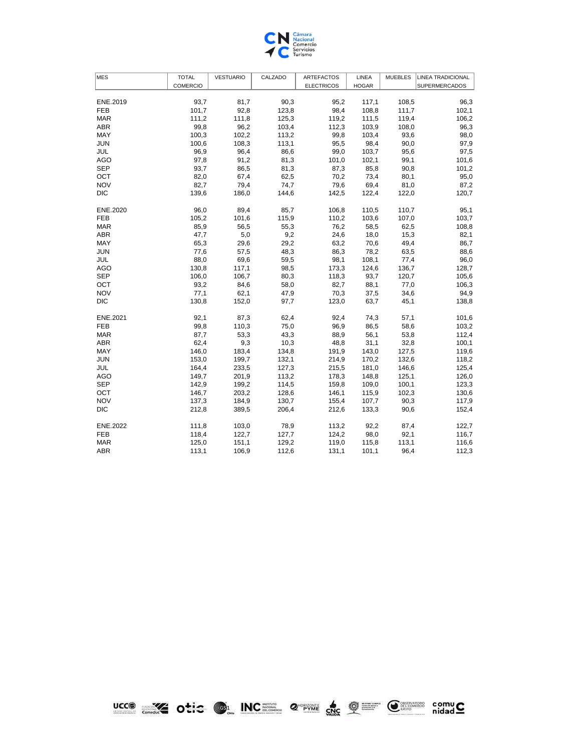

| <b>MES</b> | <b>TOTAL</b>    | <b>VESTUARIO</b> | CALZADO | <b>ARTEFACTOS</b> | LINEA        | <b>MUEBLES</b> | <b>LINEA TRADICIONAL</b> |
|------------|-----------------|------------------|---------|-------------------|--------------|----------------|--------------------------|
|            | <b>COMERCIO</b> |                  |         | <b>ELECTRICOS</b> | <b>HOGAR</b> |                | <b>SUPERMERCADOS</b>     |
|            |                 |                  |         |                   |              |                |                          |
| ENE.2019   | 93,7            | 81,7             | 90,3    | 95,2              | 117,1        | 108,5          | 96,3                     |
| <b>FEB</b> | 101,7           | 92,8             | 123,8   | 98,4              | 108,8        | 111,7          | 102,1                    |
| <b>MAR</b> | 111,2           | 111,8            | 125,3   | 119,2             | 111,5        | 119,4          | 106,2                    |
| <b>ABR</b> | 99,8            | 96,2             | 103,4   | 112,3             | 103,9        | 108,0          | 96,3                     |
| MAY        | 100,3           | 102,2            | 113,2   | 99,8              | 103,4        | 93,6           | 98,0                     |
| <b>JUN</b> | 100,6           | 108,3            | 113,1   | 95,5              | 98,4         | 90,0           | 97,9                     |
| JUL        | 96,9            | 96,4             | 86,6    | 99,0              | 103,7        | 95,6           | 97,5                     |
| <b>AGO</b> | 97,8            | 91,2             | 81,3    | 101,0             | 102,1        | 99,1           | 101,6                    |
| <b>SEP</b> | 93,7            | 86,5             | 81,3    | 87,3              | 85,8         | 90,8           | 101,2                    |
| OCT        | 82,0            | 67,4             | 62,5    | 70,2              | 73,4         | 80,1           | 95,0                     |
| <b>NOV</b> | 82,7            | 79,4             | 74,7    | 79,6              | 69,4         | 81,0           | 87,2                     |
| <b>DIC</b> | 139,6           | 186,0            | 144,6   | 142,5             | 122,4        | 122,0          | 120,7                    |
|            |                 |                  |         |                   |              |                |                          |
| ENE.2020   | 96,0            | 89,4             | 85,7    | 106,8             | 110,5        | 110,7          | 95,1                     |
| <b>FEB</b> | 105,2           | 101,6            | 115,9   | 110,2             | 103,6        | 107,0          | 103,7                    |
| <b>MAR</b> | 85,9            | 56,5             | 55,3    | 76,2              | 58,5         | 62,5           | 108,8                    |
| <b>ABR</b> | 47,7            | 5,0              | 9,2     | 24,6              | 18,0         | 15,3           | 82,1                     |
| MAY        | 65,3            | 29,6             | 29,2    | 63,2              | 70,6         | 49,4           | 86,7                     |
| <b>JUN</b> | 77,6            | 57,5             | 48,3    | 86,3              | 78,2         | 63,5           | 88,6                     |
| JUL        | 88,0            | 69,6             | 59,5    | 98,1              | 108,1        | 77,4           | 96,0                     |
| <b>AGO</b> | 130,8           | 117,1            | 98,5    | 173,3             | 124,6        | 136,7          | 128,7                    |
| <b>SEP</b> | 106,0           | 106,7            | 80,3    | 118,3             | 93,7         | 120,7          | 105,6                    |
| OCT        | 93,2            | 84,6             | 58,0    | 82,7              | 88,1         | 77,0           | 106,3                    |
| <b>NOV</b> | 77,1            | 62,1             | 47,9    | 70,3              | 37,5         | 34,6           | 94,9                     |
| <b>DIC</b> | 130,8           | 152,0            | 97,7    | 123,0             | 63,7         | 45,1           | 138,8                    |
|            |                 |                  |         |                   |              |                |                          |
| ENE.2021   | 92,1            | 87,3             | 62,4    | 92,4              | 74,3         | 57,1           | 101,6                    |
| <b>FEB</b> | 99,8            | 110,3            | 75,0    | 96,9              | 86,5         | 58,6           | 103,2                    |
| <b>MAR</b> | 87,7            | 53,3             | 43,3    | 88,9              | 56,1         | 53,8           | 112,4                    |
| <b>ABR</b> | 62,4            | 9,3              | 10,3    | 48,8              | 31,1         | 32,8           | 100,1                    |
| MAY        | 146,0           | 183,4            | 134,8   | 191,9             | 143,0        | 127,5          | 119,6                    |
| <b>JUN</b> | 153,0           | 199,7            | 132,1   | 214,9             | 170,2        | 132,6          | 118,2                    |
| JUL        | 164,4           | 233,5            | 127,3   | 215,5             | 181,0        | 146,6          | 125,4                    |
| <b>AGO</b> | 149,7           | 201,9            | 113,2   | 178,3             | 148,8        | 125,1          | 126,0                    |
| <b>SEP</b> | 142,9           | 199,2            | 114,5   | 159,8             | 109,0        | 100,1          | 123,3                    |
| <b>OCT</b> | 146,7           | 203,2            | 128,6   | 146,1             | 115,9        | 102,3          | 130,6                    |
| <b>NOV</b> | 137,3           | 184,9            | 130,7   | 155,4             | 107,7        | 90,3           | 117,9                    |
| <b>DIC</b> | 212,8           | 389,5            | 206,4   | 212,6             | 133,3        | 90,6           | 152,4                    |
|            |                 |                  |         |                   |              |                |                          |
| ENE.2022   | 111,8           | 103,0            | 78,9    | 113,2             | 92,2         | 87,4           | 122,7                    |
| <b>FEB</b> | 118,4           | 122,7            | 127,7   | 124,2             | 98,0         | 92,1           | 116,7                    |
| <b>MAR</b> | 125,0           | 151,1            | 129,2   | 119,0             | 115,8        | 113,1          | 116,6                    |
| <b>ABR</b> | 113,1           | 106,9            | 112,6   | 131,1             | 101,1        | 96,4           | 112,3                    |



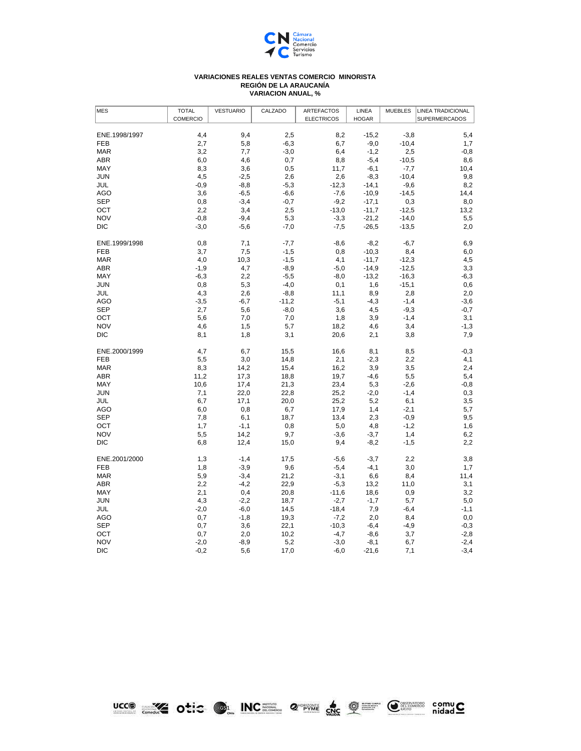

## **VARIACION ANUAL, % VARIACIONES REALES VENTAS COMERCIO MINORISTA REGIÓN DE LA ARAUCANÍA**

| <b>MES</b>    | <b>TOTAL</b> | <b>VESTUARIO</b> | CALZADO | <b>ARTEFACTOS</b> | LINEA        | <b>MUEBLES</b> | <b>LINEA TRADICIONAL</b> |
|---------------|--------------|------------------|---------|-------------------|--------------|----------------|--------------------------|
|               | COMERCIO     |                  |         | <b>ELECTRICOS</b> | <b>HOGAR</b> |                | <b>SUPERMERCADOS</b>     |
| ENE.1998/1997 |              | 9,4              | 2,5     | 8,2               | $-15,2$      | $-3,8$         |                          |
| FEB           | 4,4<br>2,7   | 5,8              | $-6,3$  | 6,7               | $-9,0$       | $-10,4$        | 5,4<br>1,7               |
| <b>MAR</b>    | 3,2          | 7,7              | $-3,0$  | 6,4               | $-1,2$       | 2,5            | $-0,8$                   |
| <b>ABR</b>    | 6,0          | 4,6              | 0,7     | 8,8               | $-5,4$       | $-10,5$        | 8,6                      |
| MAY           | 8,3          | 3,6              | 0,5     | 11,7              | $-6,1$       | $-7,7$         | 10,4                     |
| JUN           | 4,5          | $-2,5$           | 2,6     | 2,6               | $-8,3$       | $-10,4$        | 9,8                      |
| JUL           | $-0,9$       | $-8,8$           | $-5,3$  | $-12,3$           | $-14,1$      | $-9,6$         | 8,2                      |
| <b>AGO</b>    | 3,6          | $-6,5$           | $-6,6$  | $-7,6$            | $-10,9$      | $-14,5$        | 14,4                     |
| <b>SEP</b>    | 0,8          | $-3,4$           | $-0,7$  | $-9,2$            | $-17,1$      | 0,3            | 8,0                      |
| OCT           | 2,2          | 3,4              | 2,5     | $-13,0$           | $-11,7$      | $-12,5$        | 13,2                     |
| <b>NOV</b>    | $-0,8$       | $-9,4$           | 5,3     | $-3,3$            | $-21,2$      | $-14,0$        | 5,5                      |
| DIC           | $-3,0$       | $-5,6$           | $-7,0$  | $-7,5$            | $-26,5$      | $-13,5$        | 2,0                      |
|               |              |                  |         |                   |              |                |                          |
| ENE.1999/1998 | 0,8          | 7,1              | $-7,7$  | $-8,6$            | $-8,2$       | $-6,7$         | 6,9                      |
| <b>FEB</b>    | 3,7          | 7,5              | $-1,5$  | 0,8               | $-10,3$      | 8,4            | 6,0                      |
| <b>MAR</b>    | 4,0          | 10,3             | $-1,5$  | 4,1               | $-11,7$      | $-12,3$        | 4,5                      |
| <b>ABR</b>    | $-1,9$       | 4,7              | $-8,9$  | $-5,0$            | $-14,9$      | $-12,5$        | 3,3                      |
| MAY           | $-6,3$       | 2,2              | $-5,5$  | $-8,0$            | $-13,2$      | $-16,3$        | $-6,3$                   |
| JUN           | 0,8          | 5,3              | $-4,0$  | 0,1               | 1,6          | $-15,1$        | 0,6                      |
| JUL           | 4,3          | 2,6              | $-8,8$  | 11,1              | 8,9          | 2,8            | 2,0                      |
| <b>AGO</b>    | $-3,5$       | $-6,7$           | $-11,2$ | $-5,1$            | $-4,3$       | $-1,4$         | $-3,6$                   |
| <b>SEP</b>    | 2,7          | 5,6              | $-8,0$  | 3,6               | 4,5          | $-9,3$         | $-0,7$                   |
| OCT           | 5,6          | 7,0              | 7,0     | 1,8               | 3,9          | $-1,4$         | 3,1                      |
| <b>NOV</b>    | 4,6          | 1,5              | 5,7     | 18,2              | 4,6          | 3,4            | $-1,3$                   |
| <b>DIC</b>    | 8,1          | 1,8              | 3,1     | 20,6              | 2,1          | 3,8            | 7,9                      |
| ENE.2000/1999 | 4,7          | 6,7              | 15,5    | 16,6              | 8,1          | 8,5            | $-0,3$                   |
| FEB           | 5,5          | 3,0              | 14,8    | 2,1               | $-2,3$       | 2,2            | 4,1                      |
| <b>MAR</b>    | 8,3          | 14,2             | 15,4    | 16,2              | 3,9          | 3,5            | 2,4                      |
| ABR           | 11,2         | 17,3             | 18,8    | 19,7              | $-4,6$       | 5,5            | 5,4                      |
| MAY           | 10,6         | 17,4             | 21,3    | 23,4              | 5,3          | $-2,6$         | $-0,8$                   |
| <b>JUN</b>    | 7,1          | 22,0             | 22,8    | 25,2              | $-2,0$       | $-1,4$         | 0,3                      |
| JUL           | 6,7          | 17,1             | 20,0    | 25,2              | 5,2          | 6,1            | 3,5                      |
| AGO           | 6,0          | 0,8              | 6,7     | 17,9              | 1,4          | $-2,1$         | 5,7                      |
| <b>SEP</b>    | 7,8          | 6,1              | 18,7    | 13,4              | 2,3          | $-0,9$         | 9,5                      |
| OCT           | 1,7          | $-1,1$           | 0,8     | 5,0               | 4,8          | $-1,2$         | 1,6                      |
| <b>NOV</b>    | 5,5          | 14,2             | 9,7     | $-3,6$            | $-3,7$       | 1,4            | 6,2                      |
| DIC           | 6,8          | 12,4             | 15,0    | 9,4               | $-8,2$       | $-1,5$         | 2,2                      |
| ENE.2001/2000 | 1,3          | $-1,4$           | 17,5    | $-5,6$            | $-3,7$       | 2,2            | 3,8                      |
| <b>FEB</b>    | 1,8          | $-3,9$           | 9,6     | $-5,4$            | $-4,1$       | 3,0            | 1,7                      |
| <b>MAR</b>    | 5,9          | $-3,4$           | 21,2    | $-3,1$            | 6,6          | 8,4            | 11,4                     |
| <b>ABR</b>    | 2,2          | $-4,2$           | 22,9    | $-5,3$            | 13,2         | 11,0           | 3,1                      |
| MAY           | 2,1          | 0,4              | 20,8    | $-11,6$           | 18,6         | 0,9            | 3,2                      |
| <b>JUN</b>    | 4,3          | $-2,2$           | 18,7    | $-2,7$            | $-1,7$       | 5,7            | 5,0                      |
| JUL           | $-2,0$       | $-6,0$           | 14,5    | $-18,4$           | 7,9          | -6,4           | $-1,1$                   |
| <b>AGO</b>    | 0,7          | $-1,8$           | 19,3    | $-7,2$            | 2,0          | 8,4            | 0,0                      |
| <b>SEP</b>    | 0,7          | 3,6              | 22,1    | $-10,3$           | $-6,4$       | $-4,9$         | $-0,3$                   |
| OCT           | 0,7          | 2,0              | 10,2    | $-4,7$            | $-8,6$       | 3,7            | $-2,8$                   |
| <b>NOV</b>    | $-2,0$       | $-8,9$           | 5,2     | $-3,0$            | $-8,1$       | 6,7            | $-2,4$                   |
| DIC           | $-0,2$       | 5,6              | 17,0    | $-6,0$            | $-21,6$      | 7,1            | $-3,4$                   |
|               |              |                  |         |                   |              |                |                          |



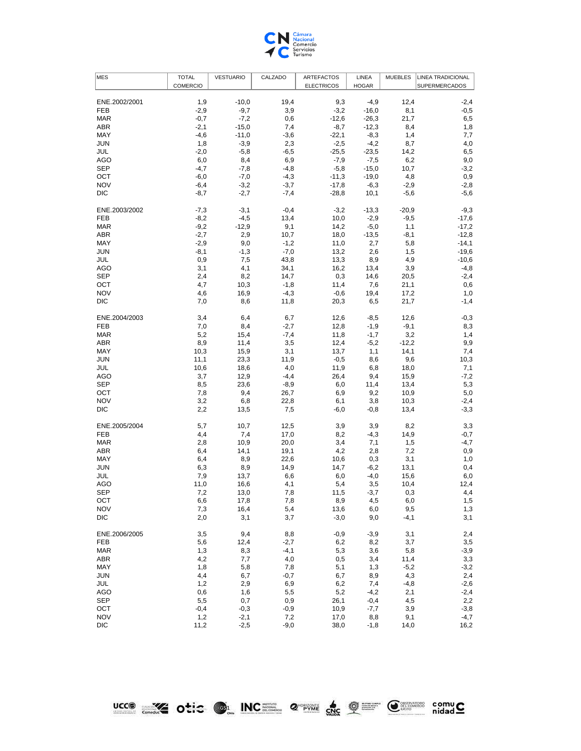

| <b>MES</b>    | <b>TOTAL</b> | <b>VESTUARIO</b> | CALZADO | <b>ARTEFACTOS</b> | LINEA        | <b>MUEBLES</b> | <b>LINEA TRADICIONAL</b> |
|---------------|--------------|------------------|---------|-------------------|--------------|----------------|--------------------------|
|               | COMERCIO     |                  |         | <b>ELECTRICOS</b> | <b>HOGAR</b> |                | SUPERMERCADOS            |
|               |              |                  |         |                   |              |                |                          |
| ENE.2002/2001 | 1,9          | $-10,0$          | 19,4    | 9,3               | $-4,9$       | 12,4           | $-2,4$                   |
| <b>FEB</b>    | $-2,9$       | $-9,7$           | 3,9     | $-3,2$            | $-16,0$      | 8,1            | $-0,5$                   |
| <b>MAR</b>    | $-0,7$       | $-7,2$           | 0,6     | $-12,6$           | $-26,3$      | 21,7           | 6,5                      |
| ABR           | $-2,1$       | $-15,0$          | 7,4     | $-8,7$            | $-12,3$      | 8,4            | 1,8                      |
| MAY           | $-4,6$       | $-11,0$          | $-3,6$  | $-22,1$           | $-8,3$       | 1,4            | 7,7                      |
| <b>JUN</b>    | 1,8          | $-3,9$           | 2,3     | $-2,5$            | $-4,2$       | 8,7            | 4,0                      |
| JUL           | $-2,0$       | $-5,8$           | $-6,5$  | $-25,5$           | $-23,5$      | 14,2           | 6,5                      |
| AGO           | 6,0          | 8,4              | 6,9     | $-7,9$            | $-7,5$       | 6,2            | 9,0                      |
| SEP           | $-4,7$       | $-7,8$           | $-4,8$  | $-5,8$            | $-15,0$      | 10,7           | $-3,2$                   |
| OCT           | $-6,0$       | $-7,0$           | $-4,3$  | $-11,3$           | $-19,0$      | 4,8            | 0,9                      |
| <b>NOV</b>    | $-6,4$       | $-3,2$           | $-3,7$  | $-17,8$           | $-6,3$       | $-2,9$         | $-2,8$                   |
| DIC           | $-8,7$       | $-2,7$           | $-7,4$  | $-28,8$           | 10,1         | $-5,6$         | $-5,6$                   |
| ENE.2003/2002 | $-7,3$       | $-3,1$           | $-0,4$  | $-3,2$            | $-13,3$      | $-20,9$        | $-9,3$                   |
| <b>FEB</b>    | $-8,2$       | $-4,5$           | 13,4    | 10,0              | $-2,9$       | $-9,5$         | $-17,6$                  |
| <b>MAR</b>    | $-9,2$       | $-12,9$          | 9,1     | 14,2              | $-5,0$       | 1,1            | $-17,2$                  |
| ABR           | $-2,7$       | 2,9              | 10,7    | 18,0              | $-13,5$      | $-8,1$         | $-12,8$                  |
| MAY           |              | 9,0              | $-1,2$  |                   | 2,7          |                | $-14,1$                  |
|               | $-2,9$       |                  |         | 11,0              |              | 5,8            |                          |
| <b>JUN</b>    | $-8,1$       | $-1,3$           | $-7,0$  | 13,2              | 2,6          | 1,5            | $-19,6$                  |
| JUL           | 0,9          | 7,5              | 43,8    | 13,3              | 8,9          | 4,9            | $-10,6$                  |
| AGO           | 3,1          | 4,1              | 34,1    | 16,2              | 13,4         | 3,9            | $-4,8$                   |
| SEP           | 2,4          | 8,2              | 14,7    | 0,3               | 14,6         | 20,5           | $-2,4$                   |
| OCT           | 4,7          | 10,3             | $-1,8$  | 11,4              | 7,6          | 21,1           | 0,6                      |
| <b>NOV</b>    | 4,6          | 16,9             | $-4,3$  | $-0,6$            | 19,4         | 17,2           | 1,0                      |
| DIC           | 7,0          | 8,6              | 11,8    | 20,3              | 6,5          | 21,7           | $-1,4$                   |
| ENE.2004/2003 | 3,4          | 6,4              | 6,7     | 12,6              | $-8,5$       | 12,6           | $-0,3$                   |
| FEB           | 7,0          | 8,4              | $-2,7$  | 12,8              | $-1,9$       | $-9,1$         | 8,3                      |
| <b>MAR</b>    | 5,2          | 15,4             | $-7,4$  | 11,8              | $-1,7$       | 3,2            | 1,4                      |
| ABR           | 8,9          | 11,4             | 3,5     | 12,4              | $-5,2$       | $-12,2$        | 9,9                      |
| MAY           | 10,3         | 15,9             | 3,1     | 13,7              | 1,1          | 14,1           | 7,4                      |
| <b>JUN</b>    | 11,1         | 23,3             | 11,9    | $-0,5$            | 8,6          | 9,6            | 10,3                     |
| JUL           | 10,6         | 18,6             | 4,0     | 11,9              | 6,8          | 18,0           | 7,1                      |
| AGO           | 3,7          | 12,9             | $-4,4$  | 26,4              | 9,4          | 15,9           | $-7,2$                   |
| SEP           | 8,5          | 23,6             | $-8,9$  | 6,0               | 11,4         | 13,4           | 5,3                      |
| OCT           | 7,8          | 9,4              | 26,7    | 6,9               | 9,2          | 10,9           | 5,0                      |
| <b>NOV</b>    | 3,2          | 6,8              | 22,8    | 6,1               | 3,8          | 10,3           | $-2,4$                   |
| DIC           | 2,2          | 13,5             | 7,5     | -6,0              | $-0,8$       | 13,4           | $-3,3$                   |
| ENE.2005/2004 | 5,7          | 10,7             | 12,5    | 3,9               | 3,9          | 8,2            | 3,3                      |
| FEB           | 4,4          | 7,4              | 17,0    | 8,2               | $-4,3$       | 14,9           | $-0,7$                   |
| <b>MAR</b>    | 2,8          | 10,9             | 20,0    | 3,4               | 7,1          | 1,5            | -4,7                     |
| ABR           |              |                  |         |                   |              |                |                          |
|               | 6,4          | 14,1             | 19,1    | 4,2               | 2,8          | 7,2            | 0,9                      |
| MAY           | 6,4          | 8,9              | 22,6    | 10,6              | 0,3          | 3,1            | 1,0                      |
| JUN           | 6,3          | 8,9              | 14,9    | 14,7              | $-6,2$       | 13,1           | 0,4                      |
| JUL           | 7,9          | 13,7             | 6,6     | 6,0               | $-4,0$       | 15,6           | 6,0                      |
| AGO           | 11,0         | 16,6             | 4,1     | 5,4               | 3,5          | 10,4           | 12,4                     |
| <b>SEP</b>    | 7,2          | 13,0             | 7,8     | 11,5              | $-3,7$       | 0,3            | 4,4                      |
| OCT           | 6,6          | 17,8             | 7,8     | 8,9               | 4,5          | 6,0            | 1,5                      |
| <b>NOV</b>    | 7,3          | 16,4             | 5,4     | 13,6              | 6,0          | 9,5            | 1,3                      |
| <b>DIC</b>    | 2,0          | 3,1              | 3,7     | $-3,0$            | 9,0          | $-4,1$         | 3,1                      |
| ENE.2006/2005 | 3,5          | 9,4              | 8,8     | $-0,9$            | $-3,9$       | 3,1            | 2,4                      |
| FEB           | 5,6          | 12,4             | $-2,7$  | 6,2               | 8,2          | 3,7            | 3,5                      |
| <b>MAR</b>    | 1,3          | 8,3              | $-4,1$  | 5,3               | 3,6          | 5,8            | $-3,9$                   |
| ABR           | 4,2          | 7,7              | 4,0     | 0,5               | 3,4          | 11,4           | 3,3                      |
| MAY           | 1,8          | 5,8              | 7,8     | 5,1               | 1,3          | $-5,2$         | $-3,2$                   |
| <b>JUN</b>    | 4,4          | 6,7              | $-0,7$  | 6,7               | 8,9          | 4,3            | 2,4                      |
| JUL           | 1,2          | 2,9              | 6,9     | 6,2               | 7,4          | $-4,8$         | $-2,6$                   |
| AGO           | 0,6          | 1,6              | 5,5     | 5,2               | $-4,2$       | 2,1            | $-2,4$                   |
| <b>SEP</b>    | 5,5          | 0,7              | 0,9     | 26,1              | $-0,4$       | 4,5            | 2,2                      |
| OCT           | $-0,4$       | $-0,3$           | $-0,9$  | 10,9              | $-7,7$       | 3,9            | $-3,8$                   |
| <b>NOV</b>    | 1,2          | $-2,1$           | 7,2     | 17,0              | 8,8          | 9,1            | $-4,7$                   |
| DIC           | 11,2         | $-2,5$           | $-9,0$  | 38,0              | $-1,8$       | 14,0           | 16,2                     |
|               |              |                  |         |                   |              |                |                          |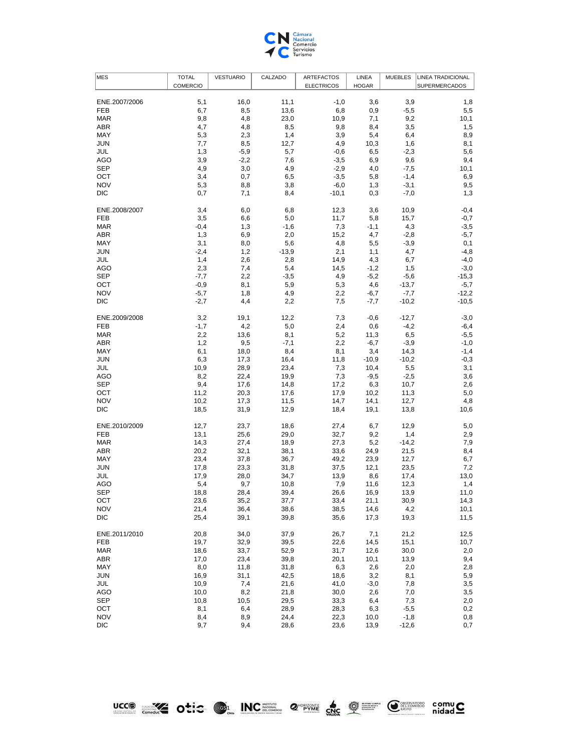

| <b>MES</b>    | <b>TOTAL</b>    | <b>VESTUARIO</b> | CALZADO | <b>ARTEFACTOS</b> | LINEA        | <b>MUEBLES</b> | <b>LINEA TRADICIONAL</b> |
|---------------|-----------------|------------------|---------|-------------------|--------------|----------------|--------------------------|
|               | <b>COMERCIO</b> |                  |         | <b>ELECTRICOS</b> | <b>HOGAR</b> |                | SUPERMERCADOS            |
|               |                 |                  |         |                   |              |                |                          |
| ENE.2007/2006 | 5,1             | 16,0             | 11,1    | $-1,0$            | 3,6          | 3,9            | 1,8                      |
| <b>FEB</b>    | 6,7             | 8,5              | 13,6    | 6,8               | 0,9          | $-5,5$         | 5,5                      |
| <b>MAR</b>    | 9,8             | 4,8              | 23,0    | 10,9              | 7,1          | 9,2            | 10,1                     |
| ABR           | 4,7             | 4,8              | 8,5     | 9,8               | 8,4          | 3,5            | 1,5                      |
| MAY           | 5,3             | 2,3              | 1,4     | 3,9               | 5,4          | 6,4            | 8,9                      |
| JUN           | 7,7             | 8,5              | 12,7    | 4,9               | 10,3         | 1,6            | 8,1                      |
| JUL           | 1,3             | $-5,9$           | 5,7     | $-0,6$            | 6,5          | $-2,3$         | 5,6                      |
| AGO           | 3,9             | $-2,2$           | 7,6     | $-3,5$            | 6,9          | 9,6            | 9,4                      |
| <b>SEP</b>    | 4,9             | 3,0              | 4,9     | $-2,9$            | 4,0          | $-7,5$         | 10,1                     |
| OCT           | 3,4             | 0,7              |         | $-3,5$            | 5,8          | $-1,4$         | 6,9                      |
| <b>NOV</b>    | 5,3             |                  | 6,5     |                   |              |                | 9,5                      |
|               |                 | 8,8              | 3,8     | $-6,0$            | 1,3          | $-3,1$         |                          |
| DIC           | 0,7             | 7,1              | 8,4     | $-10,1$           | 0,3          | $-7,0$         | 1,3                      |
|               |                 |                  |         |                   |              |                |                          |
| ENE.2008/2007 | 3,4             | 6,0              | 6,8     | 12,3              | 3,6          | 10,9           | $-0,4$                   |
| <b>FEB</b>    | 3,5             | 6,6              | 5,0     | 11,7              | 5,8          | 15,7           | $-0,7$                   |
| <b>MAR</b>    | $-0,4$          | 1,3              | $-1,6$  | 7,3               | $-1,1$       | 4,3            | $-3,5$                   |
| ABR           | 1,3             | 6,9              | 2,0     | 15,2              | 4,7          | $-2,8$         | $-5,7$                   |
| MAY           | 3,1             | 8,0              | 5,6     | 4,8               | 5,5          | $-3,9$         | 0,1                      |
| JUN           | $-2,4$          | 1,2              | $-13,9$ | 2,1               | 1,1          | 4,7            | $-4,8$                   |
| JUL           | 1,4             | 2,6              | 2,8     | 14,9              | 4,3          | 6,7            | $-4,0$                   |
| AGO           | 2,3             | 7,4              | 5,4     | 14,5              | $-1,2$       | 1,5            | $-3,0$                   |
| <b>SEP</b>    | $-7,7$          | 2,2              | $-3,5$  | 4,9               | $-5,2$       | $-5,6$         | $-15,3$                  |
| OCT           | $-0,9$          | 8,1              | 5,9     | 5,3               | 4,6          | $-13,7$        | $-5,7$                   |
| <b>NOV</b>    | $-5,7$          | 1,8              | 4,9     | 2,2               | $-6,7$       | $-7,7$         | $-12,2$                  |
| DIC           | $-2,7$          | 4,4              | 2,2     | 7,5               | $-7,7$       | $-10,2$        | $-10,5$                  |
|               |                 |                  |         |                   |              |                |                          |
| ENE.2009/2008 | 3,2             | 19,1             | 12,2    | 7,3               | $-0,6$       | $-12,7$        | $-3,0$                   |
| <b>FEB</b>    | $-1,7$          | 4,2              | 5,0     | 2,4               | 0,6          | $-4,2$         | $-6,4$                   |
| <b>MAR</b>    | 2,2             | 13,6             | 8,1     | 5,2               | 11,3         | 6,5            | $-5,5$                   |
| ABR           | 1,2             | 9,5              | $-7,1$  | 2,2               | $-6,7$       | $-3,9$         | $-1,0$                   |
| MAY           | 6,1             | 18,0             | 8,4     | 8,1               | 3,4          | 14,3           | $-1,4$                   |
|               | 6,3             |                  |         |                   |              |                | $-0,3$                   |
| JUN           |                 | 17,3             | 16,4    | 11,8              | $-10,9$      | $-10,2$        |                          |
| JUL           | 10,9            | 28,9             | 23,4    | 7,3               | 10,4         | 5,5            | 3,1                      |
| AGO           | 8,2             | 22,4             | 19,9    | 7,3               | $-9,5$       | $-2,5$         | 3,6                      |
| <b>SEP</b>    | 9,4             | 17,6             | 14,8    | 17,2              | 6,3          | 10,7           | 2,6                      |
| OCT           | 11,2            | 20,3             | 17,6    | 17,9              | 10,2         | 11,3           | 5,0                      |
| <b>NOV</b>    | 10,2            | 17,3             | 11,5    | 14,7              | 14,1         | 12,7           | 4,8                      |
| DIC           | 18,5            | 31,9             | 12,9    | 18,4              | 19,1         | 13,8           | 10,6                     |
|               |                 |                  |         |                   |              |                |                          |
| ENE.2010/2009 | 12,7            | 23,7             | 18,6    | 27,4              | 6,7          | 12,9           | 5,0                      |
| <b>FEB</b>    | 13,1            | 25,6             | 29,0    | 32,7              | 9,2          | 1,4            | 2,9                      |
| <b>MAR</b>    | 14,3            | 27,4             | 18,9    | 27,3              | 5,2          | $-14,2$        | 7,9                      |
| ABR           | 20,2            | 32,1             | 38,1    | 33,6              | 24,9         | 21,5           | 8,4                      |
| MAY           | 23,4            | 37,8             | 36,7    | 49,2              | 23,9         | 12,7           | 6,7                      |
| JUN           | 17,8            | 23,3             | 31,8    | 37,5              | 12,1         | 23,5           | 7,2                      |
| JUL           | 17,9            | 28,0             | 34,7    | 13,9              | 8,6          | 17,4           | 13,0                     |
| AGO           | 5,4             | 9,7              | 10,8    | 7,9               | 11,6         | 12,3           | 1,4                      |
| <b>SEP</b>    | 18,8            | 28,4             | 39,4    | 26,6              | 16,9         | 13,9           | 11,0                     |
| OCT           | 23,6            | 35,2             | 37,7    | 33,4              | 21,1         | 30,9           | 14,3                     |
| <b>NOV</b>    | 21,4            | 36,4             | 38,6    | 38,5              | 14,6         | 4,2            | 10,1                     |
| <b>DIC</b>    | 25,4            | 39,1             | 39,8    | 35,6              | 17,3         | 19,3           | 11,5                     |
|               |                 |                  |         |                   |              |                |                          |
| ENE.2011/2010 | 20,8            | 34,0             | 37,9    | 26,7              | 7,1          | 21,2           | 12,5                     |
| <b>FEB</b>    | 19,7            | 32,9             | 39,5    | 22,6              | 14,5         | 15,1           | 10,7                     |
| <b>MAR</b>    | 18,6            | 33,7             | 52,9    | 31,7              | 12,6         | 30,0           | 2,0                      |
| ABR           | 17,0            | 23,4             | 39,8    | 20,1              | 10,1         | 13,9           | 9,4                      |
|               |                 |                  |         |                   |              |                | 2,8                      |
| MAY           | 8,0             | 11,8             | 31,8    | 6,3               | 2,6          | 2,0            |                          |
| <b>JUN</b>    | 16,9            | 31,1             | 42,5    | 18,6              | 3,2          | 8,1            | 5,9                      |
| JUL           | 10,9            | 7,4              | 21,6    | 41,0              | $-3,0$       | 7,8            | 3,5                      |
| <b>AGO</b>    | 10,0            | 8,2              | 21,8    | 30,0              | 2,6          | 7,0            | 3,5                      |
| <b>SEP</b>    | 10,8            | 10,5             | 29,5    | 33,3              | 6,4          | 7,3            | 2,0                      |
| OCT           | 8,1             | 6,4              | 28,9    | 28,3              | 6,3          | $-5,5$         | 0,2                      |
| <b>NOV</b>    | 8,4             | 8,9              | 24,4    | 22,3              | 10,0         | $-1,8$         | 0,8                      |
| <b>DIC</b>    | 9,7             | 9,4              | 28,6    | 23,6              | 13,9         | $-12,6$        | 0,7                      |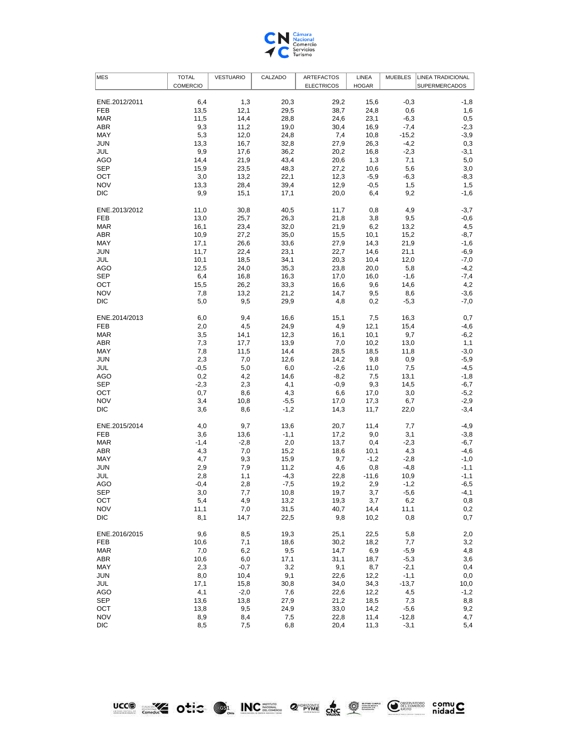

| <b>MES</b>    | <b>TOTAL</b> | <b>VESTUARIO</b> | CALZADO | <b>ARTEFACTOS</b> | <b>LINEA</b> | <b>MUEBLES</b> | <b>LINEA TRADICIONAL</b> |
|---------------|--------------|------------------|---------|-------------------|--------------|----------------|--------------------------|
|               | COMERCIO     |                  |         | <b>ELECTRICOS</b> | <b>HOGAR</b> |                | SUPERMERCADOS            |
|               |              |                  |         |                   |              |                |                          |
| ENE.2012/2011 | 6,4          | 1,3              | 20,3    | 29,2              | 15,6         | $-0,3$         | -1,8                     |
| <b>FEB</b>    | 13,5         | 12,1             | 29,5    | 38,7              | 24,8         | 0,6            | 1,6                      |
| <b>MAR</b>    | 11,5         | 14,4             | 28,8    | 24,6              | 23,1         | $-6,3$         | 0,5                      |
| ABR           | 9,3          | 11,2             | 19,0    | 30,4              | 16,9         | $-7,4$         | $-2,3$                   |
| MAY           | 5,3          | 12,0             | 24,8    | 7,4               | 10,8         | $-15,2$        | $-3,9$                   |
| <b>JUN</b>    | 13,3         | 16,7             | 32,8    | 27,9              | 26,3         | $-4,2$         | 0,3                      |
| JUL           | 9,9          | 17,6             | 36,2    | 20,2              | 16,8         | $-2,3$         | $-3,1$                   |
| AGO           | 14,4         | 21,9             | 43,4    | 20,6              | 1,3          | 7,1            | 5,0                      |
| <b>SEP</b>    | 15,9         | 23,5             | 48,3    | 27,2              | 10,6         | 5,6            | 3,0                      |
| OCT           | 3,0          | 13,2             | 22,1    | 12,3              | $-5,9$       | $-6,3$         | $-8,3$                   |
| <b>NOV</b>    | 13,3         | 28,4             | 39,4    | 12,9              | $-0,5$       | 1,5            | 1,5                      |
| <b>DIC</b>    | 9,9          | 15,1             | 17,1    | 20,0              | 6,4          | 9,2            | $-1,6$                   |
| ENE.2013/2012 |              |                  | 40,5    | 11,7              | 0,8          | 4,9            |                          |
| <b>FEB</b>    | 11,0         | 30,8             |         |                   |              |                | $-3,7$<br>$-0,6$         |
| <b>MAR</b>    | 13,0         | 25,7<br>23,4     | 26,3    | 21,8              | 3,8          | 9,5            |                          |
| ABR           | 16,1         |                  | 32,0    | 21,9              | 6,2          | 13,2           | 4,5                      |
|               | 10,9         | 27,2             | 35,0    | 15,5              | 10,1         | 15,2           | $-8,7$                   |
| MAY           | 17,1         | 26,6             | 33,6    | 27,9              | 14,3         | 21,9           | $-1,6$                   |
| <b>JUN</b>    | 11,7         | 22,4             | 23,1    | 22,7              | 14,6         | 21,1           | $-6,9$                   |
| JUL           | 10,1         | 18,5             | 34,1    | 20,3              | 10,4         | 12,0           | $-7,0$                   |
| AGO           | 12,5         | 24,0             | 35,3    | 23,8              | 20,0         | 5,8            | $-4,2$                   |
| <b>SEP</b>    | 6,4          | 16,8             | 16,3    | 17,0              | 16,0         | $-1,6$         | $-7,4$                   |
| OCT           | 15,5         | 26,2             | 33,3    | 16,6              | 9,6          | 14,6           | 4,2                      |
| <b>NOV</b>    | 7,8          | 13,2             | 21,2    | 14,7              | 9,5          | 8,6            | $-3,6$                   |
| DIC           | 5,0          | 9,5              | 29,9    | 4,8               | 0,2          | $-5,3$         | $-7,0$                   |
| ENE.2014/2013 | 6,0          | 9,4              | 16,6    | 15,1              | 7,5          | 16,3           | 0,7                      |
| <b>FEB</b>    | 2,0          | 4,5              | 24,9    | 4,9               | 12,1         | 15,4           | $-4,6$                   |
| <b>MAR</b>    | 3,5          | 14,1             | 12,3    | 16,1              | 10,1         | 9,7            | $-6,2$                   |
| <b>ABR</b>    | 7,3          | 17,7             | 13,9    | 7,0               | 10,2         | 13,0           | 1,1                      |
| MAY           | 7,8          | 11,5             | 14,4    | 28,5              | 18,5         | 11,8           | $-3,0$                   |
| <b>JUN</b>    | 2,3          | 7,0              | 12,6    | 14,2              | 9,8          | 0,9            | $-5,9$                   |
| JUL           | $-0,5$       | 5,0              | 6,0     | $-2,6$            | 11,0         | 7,5            | $-4,5$                   |
| AGO           | 0,2          | 4,2              | 14,6    | $-8,2$            | 7,5          | 13,1           | $-1,8$                   |
| <b>SEP</b>    | $-2,3$       | 2,3              | 4,1     | $-0,9$            | 9,3          | 14,5           | $-6,7$                   |
| OCT           | 0,7          | 8,6              | 4,3     | 6,6               | 17,0         | 3,0            | $-5,2$                   |
| <b>NOV</b>    | 3,4          | 10,8             | $-5,5$  | 17,0              | 17,3         | 6,7            | $-2,9$                   |
| DIC           | 3,6          | 8,6              | $-1,2$  | 14,3              | 11,7         | 22,0           | $-3,4$                   |
|               |              |                  |         |                   |              |                |                          |
| ENE.2015/2014 | 4,0          | 9,7              | 13,6    | 20,7              | 11,4         | 7,7            | $-4,9$                   |
| <b>FEB</b>    | 3,6          | 13,6             | $-1,1$  | 17,2              | 9,0          | 3,1            | $-3,8$                   |
| <b>MAR</b>    | $-1,4$       | $-2,8$           | 2,0     | 13,7              | 0,4          | $-2,3$         | $-6,7$                   |
| ABR           | 4,3          | 7,0              | 15,2    | 18,6              | 10,1         | 4,3            | $-4,6$                   |
| MAY           | 4,7          | 9,3              | 15,9    | 9,7               | $-1,2$       | $-2,8$         | $-1,0$                   |
| <b>JUN</b>    | 2,9          | 7,9              | 11,2    | 4,6               | 0,8          | $-4,8$         | $-1,1$                   |
| JUL           | 2,8          | 1,1              | $-4,3$  | 22,8              | $-11,6$      | 10,9           | $-1,1$                   |
| <b>AGO</b>    | $-0,4$       | 2,8              | $-7,5$  | 19,2              | 2,9          | $-1,2$         | $-6,5$                   |
| <b>SEP</b>    | 3,0          | 7,7              | 10,8    | 19,7              | 3,7          | $-5,6$         | $-4,1$                   |
| OCT           | 5,4          | 4,9              | 13,2    | 19,3              | 3,7          | 6,2            | 0,8                      |
| <b>NOV</b>    | 11,1         | 7,0              | 31,5    | 40,7              | 14,4         | 11,1           | 0,2                      |
| <b>DIC</b>    | 8,1          | 14,7             | 22,5    | 9,8               | 10,2         | 0,8            | 0,7                      |
| ENE.2016/2015 | 9,6          | 8,5              | 19,3    | 25,1              | 22,5         | 5,8            | 2,0                      |
| <b>FEB</b>    | 10,6         | 7,1              | 18,6    | 30,2              | 18,2         | 7,7            | 3,2                      |
| <b>MAR</b>    | 7,0          | 6,2              | 9,5     | 14,7              | 6,9          | $-5,9$         | 4,8                      |
| <b>ABR</b>    | 10,6         | 6,0              | 17,1    | 31,1              | 18,7         | $-5,3$         | 3,6                      |
| MAY           | 2,3          | $-0,7$           | 3,2     | 9,1               | 8,7          | $-2,1$         | 0,4                      |
| <b>JUN</b>    | 8,0          | 10,4             | 9,1     | 22,6              | 12,2         | $-1,1$         | $_{0,0}$                 |
| JUL           | 17,1         | 15,8             | 30,8    | 34,0              | 34,3         | $-13,7$        | 10,0                     |
| <b>AGO</b>    | 4,1          | $-2,0$           | 7,6     | 22,6              | 12,2         | 4,5            | $-1,2$                   |
| <b>SEP</b>    | 13,6         | 13,8             | 27,9    | 21,2              | 18,5         | 7,3            | 8,8                      |
| OCT           |              | 9,5              |         |                   |              |                | 9,2                      |
|               | 13,8         |                  | 24,9    | 33,0              | 14,2         | $-5,6$         |                          |
| <b>NOV</b>    | 8,9          | 8,4              | 7,5     | 22,8              | 11,4         | $-12,8$        | 4,7                      |
| <b>DIC</b>    | 8,5          | 7,5              | 6,8     | 20,4              | 11,3         | $-3,1$         | 5,4                      |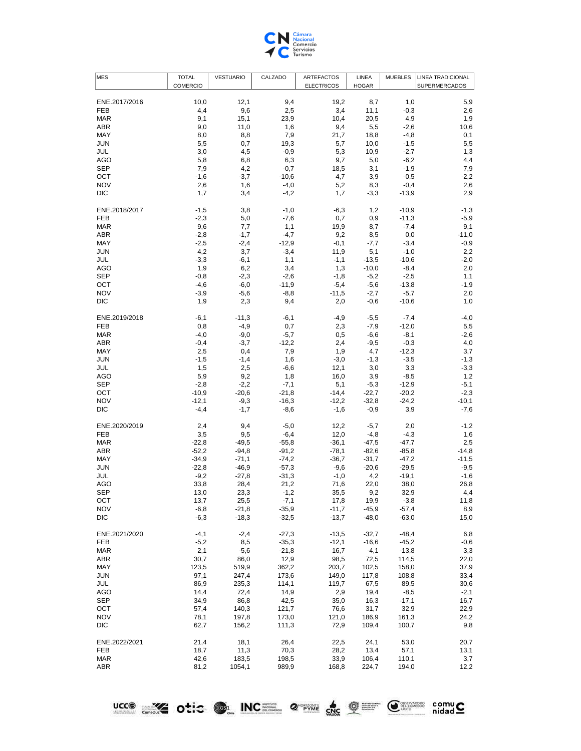

| <b>MES</b>        | <b>TOTAL</b>    | <b>VESTUARIO</b> | CALZADO            | <b>ARTEFACTOS</b> | LINEA          | <b>MUEBLES</b> | <b>LINEA TRADICIONAL</b> |
|-------------------|-----------------|------------------|--------------------|-------------------|----------------|----------------|--------------------------|
|                   | <b>COMERCIO</b> |                  |                    | <b>ELECTRICOS</b> | <b>HOGAR</b>   |                | <b>SUPERMERCADOS</b>     |
|                   |                 |                  |                    |                   |                |                |                          |
| ENE.2017/2016     | 10,0            | 12,1             | 9,4                | 19,2              | 8,7            | 1,0            | 5,9                      |
| FEB               | 4,4             | 9,6              | 2,5                | 3,4               | 11,1           | $-0,3$         | 2,6                      |
| <b>MAR</b>        | 9,1             | 15,1             | 23,9               | 10,4              | 20,5           | 4,9            | 1,9                      |
| ABR               | 9,0             | 11,0             | 1,6                | 9,4               | 5,5            | $-2,6$         | 10,6                     |
| MAY               | 8,0             | 8,8              | 7,9                | 21,7              | 18,8           | $-4,8$         | 0,1                      |
| <b>JUN</b>        | 5,5             | 0,7              | 19,3               | 5,7               | 10,0           | $-1,5$         | 5,5                      |
| JUL               | 3,0             | 4,5              | $-0,9$             | 5,3               | 10,9           | $-2,7$         | 1,3                      |
| AGO               | 5,8             | 6,8              | 6,3                | 9,7               | 5,0            | $-6,2$         | 4,4                      |
| <b>SEP</b>        | 7,9             | 4,2              | $-0,7$             | 18,5              | 3,1            | $-1,9$         | 7,9                      |
| OCT               | $-1,6$          | $-3,7$           | $-10,6$            | 4,7               | 3,9            | $-0,5$         | $-2,2$                   |
| <b>NOV</b>        | 2,6             | 1,6              | $-4,0$             | 5,2               | 8,3            | $-0,4$         | 2,6                      |
| DIC               | 1,7             | 3,4              | $-4,2$             | 1,7               | $-3,3$         | $-13,9$        | 2,9                      |
| ENE.2018/2017     | $-1,5$          | 3,8              | $-1,0$             | -6,3              | 1,2            | $-10,9$        | $-1,3$                   |
| FEB               | $-2,3$          | 5,0              | $-7,6$             | 0,7               | 0,9            | $-11,3$        | $-5,9$                   |
| <b>MAR</b>        | 9,6             | 7,7              | 1,1                | 19,9              | 8,7            | $-7,4$         | 9,1                      |
| <b>ABR</b>        | $-2,8$          | $-1,7$           | $-4,7$             | 9,2               | 8,5            | 0,0            | $-11,0$                  |
| MAY               | $-2,5$          | $-2,4$           | $-12,9$            | $-0,1$            | $-7,7$         | $-3,4$         | $-0,9$                   |
| <b>JUN</b>        | 4,2             | 3,7              | $-3,4$             | 11,9              | 5,1            | $-1,0$         | 2,2                      |
| JUL               | $-3,3$          | $-6,1$           | 1,1                | $-1,1$            | $-13,5$        | $-10,6$        | $-2,0$                   |
| AGO               | 1,9             | 6,2              | 3,4                | 1,3               | $-10,0$        | $-8,4$         | 2,0                      |
| SEP               | $-0,8$          | $-2,3$           | $-2,6$             | $-1,8$            | $-5,2$         | $-2,5$         | 1,1                      |
| OCT               | -4,6            | $-6,0$           | $-11,9$            | $-5,4$            | $-5,6$         | $-13,8$        | $-1,9$                   |
| <b>NOV</b>        | $-3,9$          | $-5,6$           | $-8,8$             | $-11,5$           | $-2,7$         | $-5,7$         | 2,0                      |
| <b>DIC</b>        | 1,9             | 2,3              | 9,4                | 2,0               | $-0,6$         | $-10,6$        | 1,0                      |
| ENE.2019/2018     | $-6,1$          | $-11,3$          | $-6,1$             | $-4,9$            | $-5,5$         | $-7,4$         | $-4,0$                   |
| <b>FEB</b>        | 0,8             | $-4,9$           | 0,7                | 2,3               | $-7,9$         | $-12,0$        | 5,5                      |
| <b>MAR</b>        | $-4,0$          | $-9,0$           | $-5,7$             | 0,5               | $-6,6$         | $-8,1$         | $-2,6$                   |
| <b>ABR</b>        | $-0,4$          | $-3,7$           | $-12,2$            | 2,4               | $-9,5$         | $-0,3$         | 4,0                      |
| MAY               | 2,5             | 0,4              | 7,9                | 1,9               | 4,7            | $-12,3$        | 3,7                      |
| <b>JUN</b>        | $-1,5$          | $-1,4$           | 1,6                | $-3,0$            | $-1,3$         | $-3,5$         | $-1,3$                   |
| JUL               | 1,5             | 2,5              | $-6,6$             | 12,1              | 3,0            | 3,3            | $-3,3$                   |
| AGO               | 5,9             | 9,2              | 1,8                | 16,0              | 3,9            | $-8,5$         | 1,2                      |
| <b>SEP</b>        | $-2,8$          | $-2,2$           | $-7,1$             | 5,1               | $-5,3$         | $-12,9$        | $-5,1$                   |
| OCT               | $-10,9$         | $-20,6$          | $-21,8$            | $-14,4$           | $-22,7$        | $-20,2$        | $-2,3$                   |
| <b>NOV</b>        | $-12,1$         | $-9,3$           | $-16,3$            | $-12,2$           | $-32,8$        | $-24,2$        | $-10,1$                  |
| DIC               | $-4,4$          | $-1,7$           | $-8,6$             | $-1,6$            | $-0,9$         | 3,9            | $-7,6$                   |
| ENE.2020/2019     | 2,4             | 9,4              | $-5,0$             | 12,2              | $-5,7$         | 2,0            | $-1,2$                   |
| FEB               | 3,5             | 9,5              | $-6,4$             | 12,0              | $-4,8$         | $-4,3$         | 1,6                      |
| <b>MAR</b>        | $-22,8$         | $-49,5$          | $-55,8$            | $-36,1$           | $-47,5$        | $-47,7$        | 2,5                      |
| <b>ABR</b>        | $-52,2$         | $-94,8$          | $-91,2$            | $-78,1$           | $-82,6$        | $-85,8$        | $-14,8$                  |
| MAY               | $-34,9$         | $-71,1$          | $-74,2$            | $-36,7$           | $-31,7$        | $-47,2$        | $-11,5$                  |
| <b>JUN</b>        | $-22,8$         | $-46,9$          | $-57,3$            | $-9,6$            | $-20,6$        | $-29,5$        | $-9,5$                   |
| JUL               | $-9,2$          | $-27,8$          | $-31,3$            | $-1,0$            | 4,2            | $-19,1$        | $-1,6$                   |
| <b>AGO</b>        | 33,8            | 28,4             | 21,2               | 71,6              | 22,0           | 38,0           | 26,8                     |
| <b>SEP</b>        | 13,0            | 23,3             | $-1,2$             | 35,5              | 9,2            | 32,9           | 4,4                      |
| OCT               | 13,7            | 25,5             | $-7,1$             | 17,8              | 19,9           | $-3,8$         | 11,8                     |
| <b>NOV</b>        | $-6,8$          | $-21,8$          | $-35,9$            | $-11,7$           | $-45,9$        | $-57,4$        | 8,9                      |
| <b>DIC</b>        | $-6,3$          | $-18,3$          | $-32,5$            | $-13,7$           | $-48,0$        | $-63,0$        | 15,0                     |
| ENE.2021/2020     | $-4,1$          | $-2,4$           |                    | $-13,5$           | $-32,7$        | $-48,4$        | 6,8                      |
| FEB               | $-5,2$          | 8,5              | $-27,3$<br>$-35,3$ | $-12,1$           | $-16,6$        | $-45,2$        | $-0,6$                   |
| <b>MAR</b>        | 2,1             |                  | $-21,8$            | 16,7              | $-4,1$         | $-13,8$        | 3,3                      |
| <b>ABR</b>        | 30,7            | -5,6             |                    |                   |                |                |                          |
|                   |                 | 86,0             | 12,9               | 98,5              | 72,5           | 114,5          | 22,0                     |
| MAY<br><b>JUN</b> | 123,5<br>97,1   | 519,9<br>247,4   | 362,2<br>173,6     | 203,7<br>149,0    | 102,5<br>117,8 | 158,0<br>108,8 | 37,9<br>33,4             |
|                   |                 |                  |                    |                   |                |                |                          |
| JUL<br>AGO        | 86,9            | 235,3<br>72,4    | 114,1<br>14,9      | 119,7<br>2,9      | 67,5<br>19,4   | 89,5<br>$-8,5$ | 30,6<br>$-2,1$           |
| <b>SEP</b>        | 14,4<br>34,9    | 86,8             | 42,5               | 35,0              | 16,3           | $-17,1$        | 16,7                     |
| OCT               |                 |                  |                    |                   |                |                |                          |
| <b>NOV</b>        | 57,4            | 140,3            | 121,7              | 76,6              | 31,7           | 32,9           | 22,9                     |
| DIC               | 78,1<br>62,7    | 197,8<br>156,2   | 173,0<br>111,3     | 121,0<br>72,9     | 186,9<br>109,4 | 161,3<br>100,7 | 24,2<br>9,8              |
|                   |                 |                  |                    |                   |                |                |                          |
| ENE.2022/2021     | 21,4            | 18,1             | 26,4               | 22,5              | 24,1           | 53,0           | 20,7                     |
| FEB               | 18,7            | 11,3             | 70,3               | 28,2              | 13,4           | 57,1           | 13,1                     |
| <b>MAR</b>        | 42,6            | 183,5            | 198,5              | 33,9              | 106,4          | 110,1          | 3,7                      |
| <b>ABR</b>        | 81,2            | 1054,1           | 989,9              | 168,8             | 224,7          | 194,0          | 12,2                     |

LICCO SA Otic OL INCE 2 PAR C OF CHARGE COMMUC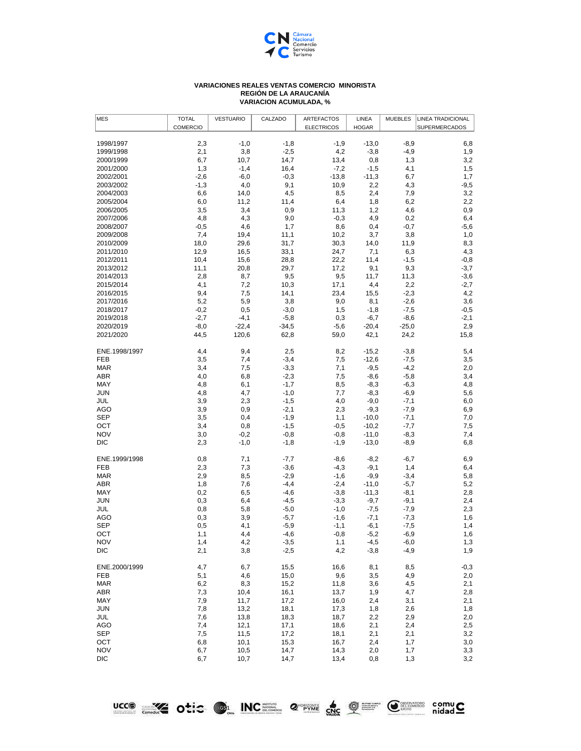

## **VARIACIONES REALES VENTAS COMERCIO MINORISTA REGIÓN DE LA ARAUCANÍA VARIACION ACUMULADA, %**

| <b>MES</b>               | <b>TOTAL</b>    | <b>VESTUARIO</b> | CALZADO          | <b>ARTEFACTOS</b> | LINEA              | <b>MUEBLES</b>   | <b>LINEA TRADICIONAL</b> |
|--------------------------|-----------------|------------------|------------------|-------------------|--------------------|------------------|--------------------------|
|                          | <b>COMERCIO</b> |                  |                  | <b>ELECTRICOS</b> | <b>HOGAR</b>       |                  | SUPERMERCADOS            |
| 1998/1997                | 2,3             | $-1,0$           | $-1,8$           | $-1,9$            | $-13,0$            | $-8,9$           | 6,8                      |
| 1999/1998                | 2,1             | 3,8              | $-2,5$           | 4,2               | $-3,8$             | $-4,9$           | 1,9                      |
| 2000/1999                | 6,7             | 10,7             | 14,7             | 13,4              | 0,8                | 1,3              | 3,2                      |
| 2001/2000                | 1,3             | $-1,4$           | 16,4             | $-7,2$            | $-1,5$             | 4,1              | 1,5                      |
| 2002/2001                | $-2,6$          | $-6,0$           | $-0,3$           | $-13,8$           | $-11,3$            | 6,7              | 1,7                      |
| 2003/2002                | $-1,3$          | 4,0              | 9,1              | 10,9              | 2,2                | 4,3              | -9,5                     |
| 2004/2003                | 6,6             | 14,0             | 4,5              | 8,5               | 2,4                | 7,9              | 3,2                      |
| 2005/2004                | 6,0             | 11,2             | 11,4             | 6,4               | 1,8                | 6,2              | 2,2                      |
| 2006/2005                | 3,5             | 3,4              | 0,9              | 11,3              | 1,2                | 4,6              | 0,9                      |
| 2007/2006                | 4,8             | 4,3              | 9,0              | $-0,3$            | 4,9                | 0,2              | 6,4                      |
| 2008/2007                | $-0,5$          | 4,6              | 1,7              | 8,6               | 0,4                | $-0,7$           | -5,6                     |
| 2009/2008                | 7,4             | 19,4             | 11,1             | 10,2              | 3,7                | 3,8              | 1,0                      |
| 2010/2009                | 18,0            | 29,6             | 31,7             | 30,3              | 14,0               | 11,9             | 8,3                      |
| 2011/2010                | 12,9            | 16,5             | 33,1             | 24,7              | 7,1                | 6,3              | 4,3                      |
| 2012/2011                | 10,4            | 15,6             | 28,8             | 22,2              | 11,4               | $-1,5$           | $-0,8$                   |
| 2013/2012                | 11,1            | 20,8             | 29,7             | 17,2              | 9,1                | 9,3              | $-3,7$                   |
| 2014/2013                | 2,8             | 8,7              | 9,5              | 9,5               | 11,7               | 11,3             | $-3,6$                   |
| 2015/2014                | 4,1             | 7,2              | 10,3             | 17,1              | 4,4                | 2,2              | $-2,7$                   |
| 2016/2015<br>2017/2016   | 9,4             | 7,5<br>5,9       | 14,1<br>3,8      | 23,4              | 15,5<br>8,1        | $-2,3$<br>$-2,6$ | 4,2                      |
| 2018/2017                | 5,2<br>$-0,2$   | 0,5              | $-3,0$           | 9,0<br>1,5        | $-1,8$             | $-7,5$           | 3,6<br>$-0,5$            |
| 2019/2018                | $-2,7$          | $-4,1$           | $-5,8$           | 0,3               | $-6,7$             | $-8,6$           | $-2,1$                   |
| 2020/2019                | $-8,0$          | $-22,4$          | $-34,5$          | $-5,6$            | $-20,4$            | $-25,0$          | 2,9                      |
| 2021/2020                | 44,5            | 120,6            | 62,8             | 59,0              | 42,1               | 24,2             | 15,8                     |
|                          |                 |                  |                  |                   |                    |                  |                          |
| ENE.1998/1997            | 4,4             | 9,4              | 2,5              | 8,2               | $-15,2$            | $-3,8$           | 5,4                      |
| FEB                      | 3,5             | 7,4              | $-3,4$           | 7,5               | $-12,6$            | $-7,5$           | 3,5                      |
| <b>MAR</b>               | 3,4             | 7,5              | $-3,3$           | 7,1               | $-9,5$             | $-4,2$           | 2,0                      |
| <b>ABR</b>               | 4,0             | 6,8              | $-2,3$           | 7,5               | $-8,6$             | $-5,8$           | 3,4                      |
| MAY                      | 4,8             | 6,1              | $-1,7$           | 8,5               | $-8,3$             | $-6,3$           | 4,8                      |
| JUN                      | 4,8             | 4,7              | $-1,0$           | 7,7               | $-8,3$             | $-6,9$           | 5,6                      |
| JUL                      | 3,9             | 2,3              | $-1,5$           | 4,0               | $-9,0$             | $-7,1$           | 6,0                      |
| AGO                      | 3,9             | 0,9              | $-2,1$           | 2,3               | $-9,3$             | $-7,9$           | 6,9                      |
| <b>SEP</b>               | 3,5             | 0,4              | $-1,9$           | 1,1               | $-10,0$            | $-7,1$           | 7,0                      |
| OCT<br><b>NOV</b>        | 3,4             | 0,8              | $-1,5$           | $-0,5$            | $-10,2$            | $-7,7$           | 7,5                      |
| DIC                      | 3,0<br>2,3      | $-0,2$<br>$-1,0$ | $-0,8$<br>$-1,8$ | $-0,8$<br>$-1,9$  | $-11,0$<br>$-13,0$ | $-8,3$<br>$-8,9$ | 7,4<br>6,8               |
|                          |                 |                  |                  |                   |                    |                  |                          |
| ENE.1999/1998            | 0,8             | 7,1              | $-7,7$           | $-8,6$            | $-8,2$             | $-6,7$           | 6,9                      |
| <b>FEB</b>               | 2,3             | 7,3              | $-3,6$           | $-4,3$            | $-9,1$             | 1,4              | 6,4                      |
| <b>MAR</b>               | 2,9             | 8,5              | $-2,9$           | $-1,6$            | $-9,9$             | $-3,4$           | 5,8                      |
| ABR                      | 1,8             | 7,6              | $-4,4$           | $-2,4$            | $-11,0$            | $-5,7$           | 5,2                      |
| MAY                      | 0,2             | 6,5              | $-4,6$           | $-3,8$            | $-11,3$            | $-8,1$           | 2,8                      |
| JUN                      | 0,3             | 6,4              | $-4,5$           | $-3,3$            | $-9,7$             | $-9,1$           | 2,4                      |
| JUL                      | 0,8             | 5,8              | $-5,0$           | $-1,0$            | $-7,5$             | $-7,9$           | 2,3                      |
| AGO<br><b>SEP</b>        | 0,3<br>0,5      | 3,9<br>4,1       | $-5,7$<br>$-5,9$ | $-1,6$            | $-7,1$<br>$-6,1$   | $-7,3$<br>$-7,5$ | 1,6<br>1,4               |
| OCT                      | 1,1             | 4,4              | $-4,6$           | $-1,1$<br>$-0,8$  | $-5,2$             | $-6,9$           | 1,6                      |
| <b>NOV</b>               | 1,4             | 4,2              | $-3,5$           | 1,1               | $-4,5$             | $-6,0$           | 1,3                      |
| DIC                      | 2,1             | 3,8              | $-2,5$           | 4,2               | $-3,8$             | $-4,9$           | 1,9                      |
|                          |                 |                  |                  |                   |                    |                  |                          |
| ENE.2000/1999            | 4,7             | 6,7              | 15,5             | 16,6              | 8,1                | 8,5              | $-0,3$                   |
| FEB                      | 5,1             | 4,6              | 15,0             | 9,6               | 3,5                | 4,9              | 2,0                      |
| <b>MAR</b>               | 6,2             | 8,3              | 15,2             | 11,8              | 3,6                | 4,5              | 2,1                      |
| ABR                      | 7,3             | 10,4             | 16,1             | 13,7              | 1,9                | 4,7              | 2,8                      |
| MAY                      | 7,9             | 11,7             | 17,2             | 16,0              | 2,4                | 3,1              | 2,1                      |
| <b>JUN</b>               | 7,8             | 13,2             | 18,1             | 17,3              | 1,8                | 2,6              | 1,8                      |
| JUL                      | 7,6             | 13,8             | 18,3             | 18,7              | 2,2                | 2,9              | 2,0                      |
| AGO                      | 7,4             | 12,1             | 17,1             | 18,6              | 2,1                | 2,4              | 2,5                      |
| <b>SEP</b>               | 7,5             | 11,5             | 17,2             | 18,1              | 2,1                | 2,1              | 3,2                      |
| OCT                      | 6,8             | 10,1             | 15,3             | 16,7              | 2,4                | 1,7              | 3,0                      |
| <b>NOV</b><br><b>DIC</b> | 6,7<br>6,7      | 10,5<br>10,7     | 14,7<br>14,7     | 14,3<br>13,4      | 2,0<br>0,8         | 1,7<br>1,3       | 3,3<br>3,2               |
|                          |                 |                  |                  |                   |                    |                  |                          |

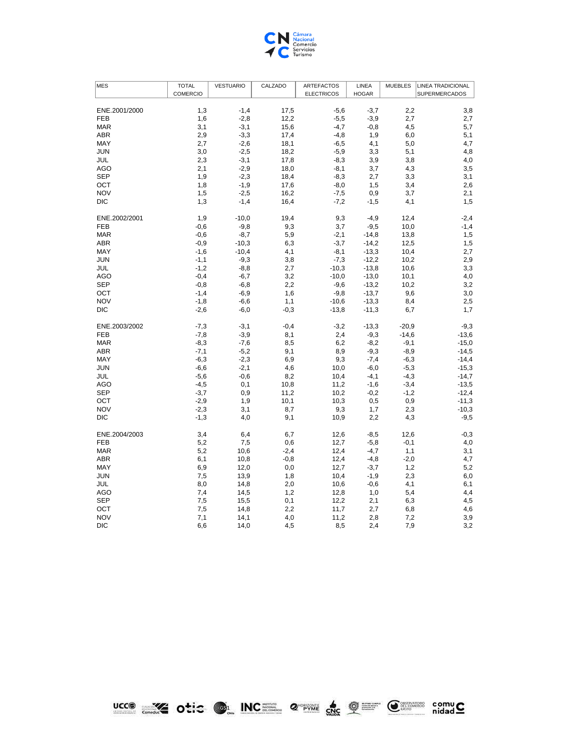

| <b>MES</b>                  | <b>TOTAL</b>     | <b>VESTUARIO</b> | CALZADO      | <b>ARTEFACTOS</b> | LINEA            | <b>MUEBLES</b>   | <b>LINEA TRADICIONAL</b> |
|-----------------------------|------------------|------------------|--------------|-------------------|------------------|------------------|--------------------------|
|                             | COMERCIO         |                  |              | <b>ELECTRICOS</b> | <b>HOGAR</b>     |                  | <b>SUPERMERCADOS</b>     |
|                             |                  |                  |              |                   |                  |                  |                          |
| ENE.2001/2000<br><b>FEB</b> | 1,3<br>1,6       | $-1,4$<br>$-2,8$ | 17,5<br>12,2 | $-5,6$<br>$-5,5$  | $-3,7$<br>$-3,9$ | 2,2<br>2,7       | 3,8<br>2,7               |
| <b>MAR</b>                  | 3,1              | $-3,1$           | 15,6         | $-4,7$            | $-0,8$           | 4,5              | 5,7                      |
| <b>ABR</b>                  | 2,9              | $-3,3$           | 17,4         | $-4,8$            | 1,9              | 6,0              | 5,1                      |
| MAY                         | 2,7              | $-2,6$           | 18,1         | $-6,5$            | 4,1              | 5,0              | 4,7                      |
| <b>JUN</b>                  | 3,0              | $-2,5$           | 18,2         | $-5,9$            | 3,3              | 5,1              | 4,8                      |
| JUL                         | 2,3              | $-3,1$           | 17,8         | $-8,3$            | 3,9              | 3,8              | 4,0                      |
| <b>AGO</b>                  | 2,1              | $-2,9$           | 18,0         | $-8,1$            | 3,7              | 4,3              | 3,5                      |
| <b>SEP</b>                  | 1,9              | $-2,3$           | 18,4         | $-8,3$            | 2,7              | 3,3              | 3,1                      |
| OCT                         | 1,8              | $-1,9$           | 17,6         | $-8,0$            | 1,5              | 3,4              | 2,6                      |
| <b>NOV</b>                  | 1,5              | $-2,5$           | 16,2         | $-7,5$            | 0,9              | 3,7              | 2,1                      |
| <b>DIC</b>                  | 1,3              | $-1,4$           | 16,4         | $-7,2$            | $-1,5$           | 4,1              | 1,5                      |
| ENE.2002/2001               | 1,9              | $-10,0$          | 19,4         | 9,3               | $-4,9$           | 12,4             | $-2,4$                   |
| <b>FEB</b>                  | $-0,6$           | $-9,8$           | 9,3          | 3,7               | $-9,5$           | 10,0             | $-1,4$                   |
| <b>MAR</b>                  | $-0,6$           | $-8,7$           | 5,9          | $-2,1$            | $-14,8$          | 13,8             | 1,5                      |
| <b>ABR</b>                  | $-0,9$           | $-10,3$          | 6,3          | $-3,7$            | $-14,2$          | 12,5             | 1,5                      |
| MAY                         | $-1,6$           | $-10,4$          | 4,1          | $-8,1$            | $-13,3$          | 10,4             | 2,7                      |
| <b>JUN</b>                  | $-1,1$           | $-9,3$           | 3,8          | $-7,3$            | $-12,2$          | 10,2             | 2,9                      |
| JUL                         | $-1,2$           | $-8,8$           | 2,7          | $-10,3$           | $-13,8$          | 10,6             | 3,3                      |
| <b>AGO</b>                  | $-0,4$           | $-6,7$           | 3,2          | $-10,0$           | $-13,0$          | 10,1             | 4,0                      |
| <b>SEP</b>                  | $-0,8$           | $-6,8$           | 2,2          | $-9,6$            | $-13,2$          | 10,2             | 3,2                      |
| OCT                         | $-1,4$           | $-6,9$           | 1,6          | $-9,8$            | $-13,7$          | 9,6              | 3,0                      |
| <b>NOV</b>                  | $-1,8$           | $-6,6$           | 1,1          | $-10,6$           | $-13,3$          | 8,4              | 2,5                      |
| <b>DIC</b>                  | $-2,6$           | $-6,0$           | $-0,3$       | $-13,8$           | $-11,3$          | 6,7              | 1,7                      |
| ENE.2003/2002               | $-7,3$           | $-3,1$           | $-0,4$       | $-3,2$            | $-13,3$          | $-20,9$          | $-9,3$                   |
| <b>FEB</b>                  | $-7,8$           | $-3,9$           | 8,1          | 2,4               | $-9,3$           | $-14,6$          | $-13,6$                  |
| <b>MAR</b>                  | $-8,3$           | $-7,6$           | 8,5          | 6,2               | $-8,2$           | $-9,1$           | $-15,0$                  |
| <b>ABR</b>                  | $-7,1$           | $-5,2$           | 9,1          | 8,9               | $-9,3$           | $-8,9$           | $-14,5$                  |
| MAY                         | $-6,3$           | $-2,3$           | 6,9          | 9,3               | $-7,4$           | $-6,3$           | $-14,4$                  |
| <b>JUN</b>                  | $-6,6$           | $-2,1$           | 4,6          | 10,0              | $-6,0$           | $-5,3$           | $-15,3$                  |
| JUL<br><b>AGO</b>           | $-5,6$           | $-0,6$           | 8,2          | 10,4              | $-4,1$           | $-4,3$           | $-14,7$                  |
| <b>SEP</b>                  | $-4,5$<br>$-3,7$ | 0,1<br>0,9       | 10,8<br>11,2 | 11,2<br>10,2      | $-1,6$<br>$-0,2$ | $-3,4$<br>$-1,2$ | $-13,5$<br>$-12,4$       |
| OCT                         | $-2,9$           | 1,9              | 10,1         | 10,3              | 0,5              | 0,9              | $-11,3$                  |
| <b>NOV</b>                  | $-2,3$           | 3,1              | 8,7          | 9,3               | 1,7              | 2,3              | $-10,3$                  |
| <b>DIC</b>                  | $-1,3$           | 4,0              | 9,1          | 10,9              | 2,2              | 4,3              | $-9,5$                   |
| ENE.2004/2003               | 3,4              | 6,4              | 6,7          | 12,6              | $-8,5$           | 12,6             | $-0,3$                   |
| <b>FEB</b>                  | 5,2              | 7,5              | 0,6          | 12,7              | $-5,8$           | $-0,1$           | 4,0                      |
| <b>MAR</b>                  | 5,2              | 10,6             | $-2,4$       | 12,4              | $-4,7$           | 1,1              | 3,1                      |
| <b>ABR</b>                  | 6,1              | 10,8             | $-0,8$       | 12,4              | $-4,8$           | $-2,0$           | 4,7                      |
| MAY                         | 6,9              | 12,0             | 0,0          | 12,7              | $-3,7$           | 1,2              | 5,2                      |
| <b>JUN</b>                  | 7,5              | 13,9             | 1,8          | 10,4              | $-1,9$           | 2,3              | 6,0                      |
| JUL                         | 8,0              | 14,8             | 2,0          | 10,6              | $-0,6$           | 4,1              | 6,1                      |
| <b>AGO</b>                  | 7,4              | 14,5             | 1,2          | 12,8              | 1,0              | 5,4              | 4,4                      |
| <b>SEP</b>                  | 7,5              | 15,5             | 0,1          | 12,2              | 2,1              | 6,3              | 4,5                      |
| OCT                         | 7,5              | 14,8             | 2,2          | 11,7              | 2,7              | 6,8              | 4,6                      |
| <b>NOV</b>                  | 7,1              | 14,1             | 4,0          | 11,2              | 2,8              | 7,2              | 3,9                      |
| <b>DIC</b>                  | 6,6              | 14,0             | 4,5          | 8,5               | 2,4              | 7,9              | 3,2                      |

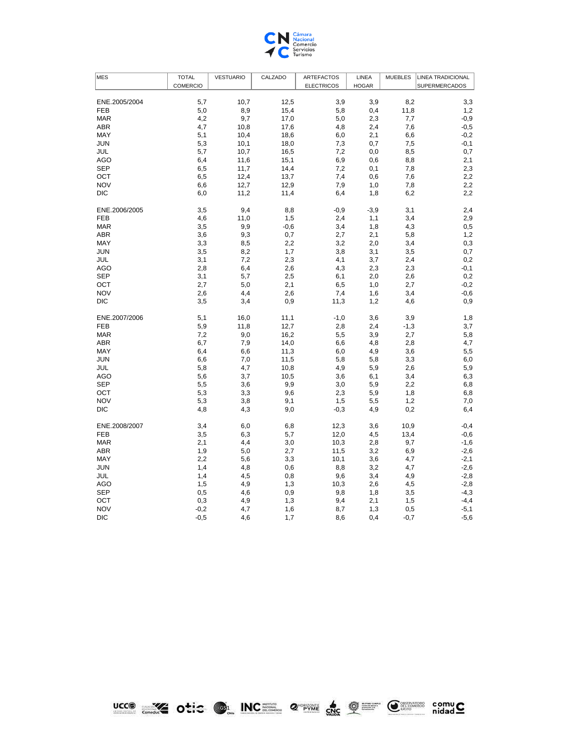

| <b>MES</b>    | <b>TOTAL</b> | <b>VESTUARIO</b> | CALZADO | <b>ARTEFACTOS</b> | LINEA        | <b>MUEBLES</b> | LINEA TRADICIONAL |
|---------------|--------------|------------------|---------|-------------------|--------------|----------------|-------------------|
|               | COMERCIO     |                  |         | <b>ELECTRICOS</b> | <b>HOGAR</b> |                | SUPERMERCADOS     |
|               |              |                  |         |                   |              |                |                   |
| ENE.2005/2004 | 5,7          | 10,7             | 12,5    | 3,9               | 3,9          | 8,2            | 3,3               |
| <b>FEB</b>    | 5,0          | 8,9              | 15,4    | 5,8               | 0,4          | 11,8           | 1,2               |
| <b>MAR</b>    | 4,2          | 9,7              | 17,0    | 5,0               | 2,3          | 7,7            | $-0,9$            |
| <b>ABR</b>    | 4,7          | 10,8             | 17,6    | 4,8               | 2,4          | 7,6            | $-0,5$            |
| MAY           | 5,1          | 10,4             | 18,6    | 6,0               | 2,1          | 6,6            | $-0,2$            |
| <b>JUN</b>    | 5,3          | 10,1             | 18,0    | 7,3               | 0,7          | 7,5            | $-0,1$            |
| JUL           | 5,7          | 10,7             | 16,5    | 7,2               | 0,0          | 8,5            | 0,7               |
| AGO           | 6,4          | 11,6             | 15,1    | 6,9               | 0,6          | 8,8            | 2,1               |
| <b>SEP</b>    | 6,5          | 11,7             | 14,4    | 7,2               | 0,1          | 7,8            | 2,3               |
| OCT           | 6,5          | 12,4             | 13,7    | 7,4               | 0,6          | 7,6            | 2,2               |
| <b>NOV</b>    | 6,6          | 12,7             | 12,9    | 7,9               | 1,0          | 7,8            | 2,2               |
| <b>DIC</b>    | 6,0          | 11,2             | 11,4    | 6,4               | 1,8          | 6,2            | 2,2               |
| ENE.2006/2005 | 3,5          | 9,4              | 8,8     | $-0,9$            | $-3,9$       | 3,1            | 2,4               |
| <b>FEB</b>    | 4,6          | 11,0             | 1,5     | 2,4               | 1,1          | 3,4            | 2,9               |
| <b>MAR</b>    | 3,5          | 9,9              | $-0,6$  | 3,4               | 1,8          | 4,3            | 0,5               |
| ABR           | 3,6          | 9,3              | 0,7     | 2,7               | 2,1          | 5,8            | 1,2               |
| MAY           | 3,3          | 8,5              | 2,2     | 3,2               | 2,0          | 3,4            | 0,3               |
| <b>JUN</b>    | 3,5          | 8,2              | 1,7     | 3,8               | 3,1          | 3,5            | 0,7               |
| JUL           | 3,1          | 7,2              | 2,3     | 4,1               | 3,7          | 2,4            | 0,2               |
| AGO           | 2,8          | 6,4              | 2,6     | 4,3               | 2,3          | 2,3            | $-0,1$            |
| <b>SEP</b>    | 3,1          | 5,7              | 2,5     | 6,1               | 2,0          | 2,6            | 0,2               |
| OCT           | 2,7          | 5,0              | 2,1     | 6,5               | 1,0          | 2,7            | $-0,2$            |
| <b>NOV</b>    | 2,6          | 4,4              | 2,6     | 7,4               | 1,6          | 3,4            | $-0,6$            |
| <b>DIC</b>    | 3,5          | 3,4              | 0,9     | 11,3              | 1,2          | 4,6            | 0,9               |
| ENE.2007/2006 | 5,1          | 16,0             | 11,1    | $-1,0$            | 3,6          | 3,9            | 1,8               |
| <b>FEB</b>    | 5,9          | 11,8             | 12,7    | 2,8               | 2,4          | $-1,3$         | 3,7               |
| <b>MAR</b>    | 7,2          | 9,0              | 16,2    | 5,5               | 3,9          | 2,7            | 5,8               |
| <b>ABR</b>    | 6,7          | 7,9              | 14,0    | 6,6               | 4,8          | 2,8            | 4,7               |
| MAY           | 6,4          | 6,6              | 11,3    | 6,0               | 4,9          | 3,6            | 5,5               |
| JUN           | 6,6          | $7,0$            | 11,5    | 5,8               | 5,8          | 3,3            | 6,0               |
| JUL           | 5,8          | 4,7              | 10,8    | 4,9               | 5,9          | 2,6            | 5,9               |
| AGO           | 5,6          | 3,7              | 10,5    | 3,6               | 6,1          | 3,4            | 6,3               |
| <b>SEP</b>    | 5,5          | 3,6              | 9,9     | 3,0               | 5,9          | 2,2            | 6,8               |
| OCT           | 5,3          | 3,3              | 9,6     | 2,3               | 5,9          | 1,8            | 6,8               |
| <b>NOV</b>    | 5,3          | 3,8              | 9,1     | 1,5               | 5,5          | 1,2            | 7,0               |
| <b>DIC</b>    | 4,8          | 4,3              | 9,0     | $-0,3$            | 4,9          | 0,2            | 6,4               |
| ENE.2008/2007 | 3,4          | 6,0              | 6,8     | 12,3              | 3,6          | 10,9           | $-0,4$            |
| <b>FEB</b>    | 3,5          | 6,3              | 5,7     | 12,0              | 4,5          | 13,4           | $-0,6$            |
| <b>MAR</b>    | 2,1          | 4,4              | 3,0     | 10,3              | 2,8          | 9,7            | $-1,6$            |
| <b>ABR</b>    | 1,9          | 5,0              | 2,7     | 11,5              | 3,2          | 6,9            | $-2,6$            |
| MAY           | 2,2          | 5,6              | 3,3     | 10,1              | 3,6          | 4,7            | $-2,1$            |
| <b>JUN</b>    | 1,4          | 4,8              | 0,6     | 8,8               | 3,2          | 4,7            | $-2,6$            |
| JUL           | 1,4          | 4,5              | 0,8     | 9,6               | 3,4          | 4,9            | $-2,8$            |
| AGO           | 1,5          | 4,9              | 1,3     | 10,3              | 2,6          | 4,5            | $-2,8$            |
| <b>SEP</b>    | 0,5          | 4,6              | 0,9     | 9,8               | 1,8          | 3,5            | $-4,3$            |
| OCT           | 0,3          | 4,9              | 1,3     | 9,4               | 2,1          | 1,5            | $-4,4$            |
| <b>NOV</b>    | $-0,2$       | 4,7              | 1,6     | 8,7               | 1,3          | 0,5            | $-5,1$            |
| <b>DIC</b>    | $-0,5$       | 4,6              | 1,7     | 8,6               | 0,4          | $-0,7$         | $-5,6$            |

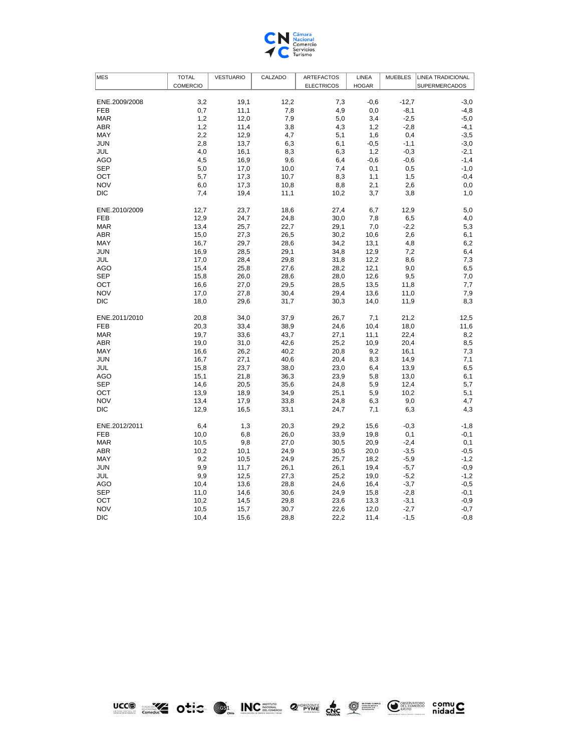

| MES           | <b>TOTAL</b>    | <b>VESTUARIO</b> | CALZADO | <b>ARTEFACTOS</b> | LINEA        | <b>MUEBLES</b> | <b>LINEA TRADICIONAL</b> |
|---------------|-----------------|------------------|---------|-------------------|--------------|----------------|--------------------------|
|               | <b>COMERCIO</b> |                  |         | <b>ELECTRICOS</b> | <b>HOGAR</b> |                | SUPERMERCADOS            |
|               |                 |                  |         |                   |              |                |                          |
| ENE.2009/2008 | 3,2             | 19,1             | 12,2    | 7,3               | $-0,6$       | $-12.7$        | $-3,0$                   |
| <b>FEB</b>    | 0,7             | 11,1             | 7,8     | 4,9               | 0,0          | $-8,1$         | $-4,8$                   |
| <b>MAR</b>    | 1,2             | 12,0             | 7,9     | 5,0               | 3,4          | $-2,5$         | $-5,0$                   |
| <b>ABR</b>    | 1,2             | 11,4             | 3,8     | 4,3               | 1,2          | $-2,8$         | $-4,1$                   |
| MAY           | 2,2             | 12,9             | 4,7     | 5,1               | 1,6          | 0,4            | $-3,5$                   |
| <b>JUN</b>    | 2,8             | 13,7             | 6,3     | 6,1               | $-0,5$       | $-1,1$         | $-3,0$                   |
| JUL           | 4,0             | 16,1             | 8,3     | 6,3               | 1,2          | $-0,3$         | $-2,1$                   |
| <b>AGO</b>    | 4,5             | 16,9             | 9,6     | 6,4               | $-0,6$       | $-0,6$         | $-1,4$                   |
| <b>SEP</b>    | 5,0             | 17,0             | 10,0    | 7,4               | 0,1          | 0,5            | $-1,0$                   |
| OCT           | 5,7             | 17,3             | 10,7    | 8,3               | 1,1          | 1,5            | $-0,4$                   |
| <b>NOV</b>    | 6,0             | 17,3             | 10,8    | 8,8               | 2,1          | 2,6            | 0,0                      |
| <b>DIC</b>    | 7,4             | 19,4             | 11,1    | 10,2              | 3,7          | 3,8            | 1,0                      |
|               |                 |                  |         |                   |              |                |                          |
| ENE.2010/2009 | 12,7            | 23,7             | 18,6    | 27,4              | 6,7          | 12,9           | 5,0                      |
| <b>FEB</b>    | 12,9            | 24,7             | 24,8    | 30,0              | 7,8          | 6,5            | 4,0                      |
| <b>MAR</b>    | 13,4            | 25,7             | 22,7    | 29,1              | 7,0          | $-2,2$         | 5,3                      |
| <b>ABR</b>    | 15,0            | 27,3             | 26,5    | 30,2              | 10,6         | 2,6            | 6,1                      |
| MAY           | 16,7            | 29,7             | 28,6    | 34,2              | 13,1         | 4,8            | 6,2                      |
| <b>JUN</b>    | 16,9            | 28,5             | 29,1    | 34,8              | 12,9         | 7,2            | 6,4                      |
| JUL           | 17,0            | 28,4             | 29,8    | 31,8              | 12,2         | 8,6            | 7,3                      |
| <b>AGO</b>    | 15,4            | 25,8             | 27,6    | 28,2              | 12,1         | 9,0            | 6,5                      |
| <b>SEP</b>    | 15,8            | 26,0             | 28,6    | 28,0              | 12,6         | 9,5            | 7,0                      |
| OCT           | 16,6            | 27,0             | 29,5    | 28,5              | 13,5         | 11,8           | 7,7                      |
| <b>NOV</b>    | 17,0            | 27,8             | 30,4    | 29,4              | 13,6         | 11,0           | 7,9                      |
| <b>DIC</b>    | 18,0            | 29,6             | 31,7    | 30,3              | 14,0         | 11,9           | 8,3                      |
|               |                 |                  |         |                   |              |                |                          |
| ENE.2011/2010 | 20,8            | 34,0             | 37,9    | 26,7              | 7,1          | 21,2           | 12,5                     |
| <b>FEB</b>    | 20,3            | 33,4             | 38,9    | 24,6              | 10,4         | 18,0           | 11,6                     |
| <b>MAR</b>    | 19,7            | 33,6             | 43,7    | 27,1              | 11,1         | 22,4           | 8,2                      |
| <b>ABR</b>    | 19,0            | 31,0             | 42,6    | 25,2              | 10,9         | 20,4           | 8,5                      |
| MAY           | 16,6            | 26,2             | 40,2    | 20,8              | 9,2          | 16,1           | 7,3                      |
| <b>JUN</b>    | 16,7            | 27,1             | 40,6    | 20,4              | 8,3          | 14,9           | 7,1                      |
| JUL           | 15,8            | 23,7             | 38,0    | 23,0              | 6,4          | 13,9           | 6,5                      |
| <b>AGO</b>    | 15,1            | 21,8             | 36,3    | 23,9              | 5,8          | 13,0           | 6,1                      |
| <b>SEP</b>    | 14,6            | 20,5             | 35,6    | 24,8              | 5,9          | 12,4           | 5,7                      |
| OCT           | 13,9            | 18,9             | 34,9    | 25,1              | 5,9          | 10,2           | 5,1                      |
| <b>NOV</b>    | 13,4            | 17,9             | 33,8    | 24,8              | 6,3          | 9,0            | 4,7                      |
| <b>DIC</b>    | 12,9            | 16,5             | 33,1    | 24,7              | 7,1          | 6,3            | 4,3                      |
|               |                 |                  |         |                   |              |                |                          |
| ENE.2012/2011 | 6,4             | 1,3              | 20,3    | 29,2              | 15,6         | $-0,3$         | $-1,8$                   |
| <b>FEB</b>    | 10,0            | 6,8              | 26,0    | 33,9              | 19,8         | 0,1            | $-0,1$                   |
| <b>MAR</b>    | 10,5            | 9,8              | 27,0    | 30,5              | 20,9         | $-2,4$         | 0,1                      |
| <b>ABR</b>    | 10,2            | 10,1             | 24,9    | 30,5              | 20,0         | $-3,5$         | $-0,5$                   |
| MAY           | 9,2             | 10,5             | 24,9    | 25,7              | 18,2         | $-5,9$         | $-1,2$                   |
| <b>JUN</b>    | 9,9             | 11,7             | 26,1    | 26,1              | 19,4         | $-5,7$         | $-0,9$                   |
| JUL           | 9,9             | 12,5             | 27,3    | 25,2              | 19,0         | $-5,2$         | $-1,2$                   |
| AGO           | 10,4            | 13,6             | 28,8    | 24,6              | 16,4         | $-3,7$         | $-0,5$                   |
| <b>SEP</b>    | 11,0            | 14,6             | 30,6    | 24,9              | 15,8         | $-2,8$         | $-0,1$                   |
| OCT           | 10,2            | 14,5             | 29,8    | 23,6              | 13,3         | $-3,1$         | $-0,9$                   |
| <b>NOV</b>    | 10,5            | 15,7             | 30,7    | 22,6              | 12,0         | $-2,7$         | $-0,7$                   |
| <b>DIC</b>    | 10,4            | 15,6             | 28,8    | 22,2              | 11,4         | $-1,5$         | $-0,8$                   |

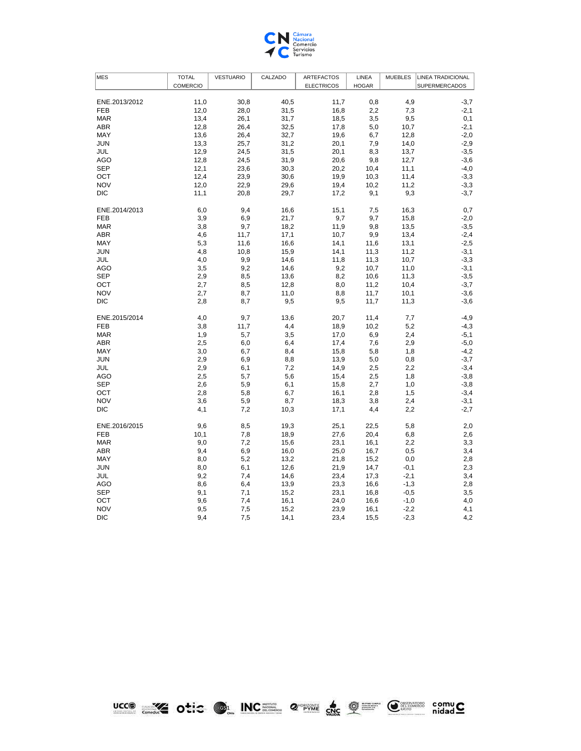

| <b>MES</b>    | <b>TOTAL</b> | <b>VESTUARIO</b> | CALZADO | <b>ARTEFACTOS</b> | LINEA        | <b>MUEBLES</b> | <b>LINEA TRADICIONAL</b> |
|---------------|--------------|------------------|---------|-------------------|--------------|----------------|--------------------------|
|               | COMERCIO     |                  |         | <b>ELECTRICOS</b> | <b>HOGAR</b> |                | SUPERMERCADOS            |
|               |              |                  |         |                   |              |                |                          |
| ENE.2013/2012 | 11,0         | 30,8             | 40,5    | 11,7              | 0,8          | 4,9            | $-3,7$                   |
| <b>FEB</b>    | 12,0         | 28,0             | 31,5    | 16,8              | 2,2          | 7,3            | $-2,1$                   |
| <b>MAR</b>    | 13,4         | 26,1             | 31,7    | 18,5              | 3,5          | 9,5            | 0,1                      |
| ABR           | 12,8         | 26,4             | 32,5    | 17,8              | 5,0          | 10,7           | $-2,1$                   |
| MAY           | 13,6         | 26,4             | 32,7    | 19,6              | 6,7          | 12,8           | $-2,0$                   |
| <b>JUN</b>    | 13,3         | 25,7             | 31,2    | 20,1              | 7,9          | 14,0           | $-2,9$                   |
| JUL           | 12,9         | 24,5             | 31,5    | 20,1              | 8,3          | 13,7           | $-3,5$                   |
| AGO           | 12,8         | 24,5             | 31,9    | 20,6              | 9,8          | 12,7           | $-3,6$                   |
| <b>SEP</b>    | 12,1         | 23,6             | 30,3    | 20,2              | 10,4         | 11,1           | $-4,0$                   |
| OCT           | 12,4         | 23,9             | 30,6    | 19,9              | 10,3         | 11,4           | $-3,3$                   |
| <b>NOV</b>    | 12,0         | 22,9             | 29,6    | 19,4              | 10,2         | 11,2           | $-3,3$                   |
| <b>DIC</b>    | 11,1         | 20,8             | 29,7    | 17,2              | 9,1          | 9,3            | $-3,7$                   |
| ENE.2014/2013 | 6,0          | 9,4              | 16,6    | 15,1              | 7,5          | 16,3           | 0,7                      |
| <b>FEB</b>    | 3,9          | 6,9              | 21,7    | 9,7               | 9,7          | 15,8           | $-2,0$                   |
| <b>MAR</b>    | 3,8          | 9,7              | 18,2    | 11,9              | 9,8          | 13,5           | $-3,5$                   |
| <b>ABR</b>    | 4,6          | 11,7             | 17,1    | 10,7              | 9,9          | 13,4           | $-2,4$                   |
| MAY           | 5,3          | 11,6             | 16,6    | 14,1              | 11,6         | 13,1           | $-2,5$                   |
| <b>JUN</b>    | 4,8          | 10,8             | 15,9    | 14,1              | 11,3         | 11,2           | $-3,1$                   |
| JUL           | 4,0          | 9,9              | 14,6    | 11,8              | 11,3         | 10,7           | $-3,3$                   |
| AGO           | 3,5          | 9,2              | 14,6    | 9,2               | 10,7         | 11,0           | $-3,1$                   |
| <b>SEP</b>    | 2,9          | 8,5              | 13,6    | 8,2               | 10,6         | 11,3           | $-3,5$                   |
| OCT           | 2,7          | 8,5              | 12,8    | 8,0               | 11,2         | 10,4           | $-3,7$                   |
| <b>NOV</b>    | 2,7          | 8,7              | 11,0    | 8,8               | 11,7         | 10,1           | $-3,6$                   |
| <b>DIC</b>    | 2,8          | 8,7              | 9,5     | 9,5               | 11,7         | 11,3           | $-3,6$                   |
| ENE.2015/2014 | 4,0          | 9,7              | 13,6    | 20,7              | 11,4         | 7,7            | $-4,9$                   |
| <b>FEB</b>    | 3,8          | 11,7             | 4,4     | 18,9              | 10,2         | 5,2            | $-4,3$                   |
| <b>MAR</b>    | 1,9          | 5,7              | 3,5     | 17,0              | 6,9          | 2,4            | $-5,1$                   |
| ABR           | 2,5          | 6,0              | 6,4     | 17,4              | 7,6          | 2,9            | $-5,0$                   |
| MAY           | 3,0          | 6,7              | 8,4     | 15,8              | 5,8          | 1,8            | $-4,2$                   |
| JUN           | 2,9          | 6,9              | 8,8     | 13,9              | 5,0          | 0,8            | $-3,7$                   |
| JUL           | 2,9          | 6,1              | 7,2     | 14,9              | 2,5          | 2,2            | $-3,4$                   |
| AGO           | 2,5          | 5,7              | 5,6     | 15,4              | 2,5          | 1,8            | $-3,8$                   |
| <b>SEP</b>    | 2,6          | 5,9              | 6,1     | 15,8              | 2,7          | 1,0            | $-3,8$                   |
| OCT           | 2,8          | 5,8              | 6,7     | 16,1              | 2,8          | 1,5            | $-3,4$                   |
| <b>NOV</b>    | 3,6          | 5,9              | 8,7     | 18,3              | 3,8          | 2,4            | $-3,1$                   |
| <b>DIC</b>    | 4,1          | 7,2              | 10,3    | 17,1              | 4,4          | 2,2            | $-2,7$                   |
| ENE.2016/2015 | 9,6          | 8,5              | 19,3    | 25,1              | 22,5         | 5,8            | 2,0                      |
| <b>FEB</b>    | 10,1         | 7,8              | 18,9    | 27,6              | 20,4         | 6,8            | 2,6                      |
| <b>MAR</b>    | 9,0          | 7,2              | 15,6    | 23,1              | 16,1         | 2,2            | 3,3                      |
| ABR           | 9,4          | 6,9              | 16,0    | 25,0              | 16,7         | 0,5            | 3,4                      |
| MAY           | 8,0          | 5,2              | 13,2    | 21,8              | 15,2         | 0,0            | 2,8                      |
| <b>JUN</b>    | 8,0          | 6,1              | 12,6    | 21,9              | 14,7         | $-0,1$         | 2,3                      |
| JUL           | 9,2          | 7,4              | 14,6    | 23,4              | 17,3         | $-2,1$         | 3,4                      |
| AGO           | 8,6          | 6,4              | 13,9    | 23,3              | 16,6         | $-1,3$         | 2,8                      |
| <b>SEP</b>    | 9,1          | 7,1              | 15,2    | 23,1              | 16,8         | $-0,5$         | 3,5                      |
| OCT           | 9,6          | 7,4              | 16,1    | 24,0              | 16,6         | $-1,0$         | 4,0                      |
| <b>NOV</b>    | 9,5          | 7,5              | 15,2    | 23,9              | 16,1         | $-2,2$         | 4,1                      |
| <b>DIC</b>    | 9,4          | 7,5              | 14,1    | 23,4              | 15,5         | $-2,3$         | 4,2                      |